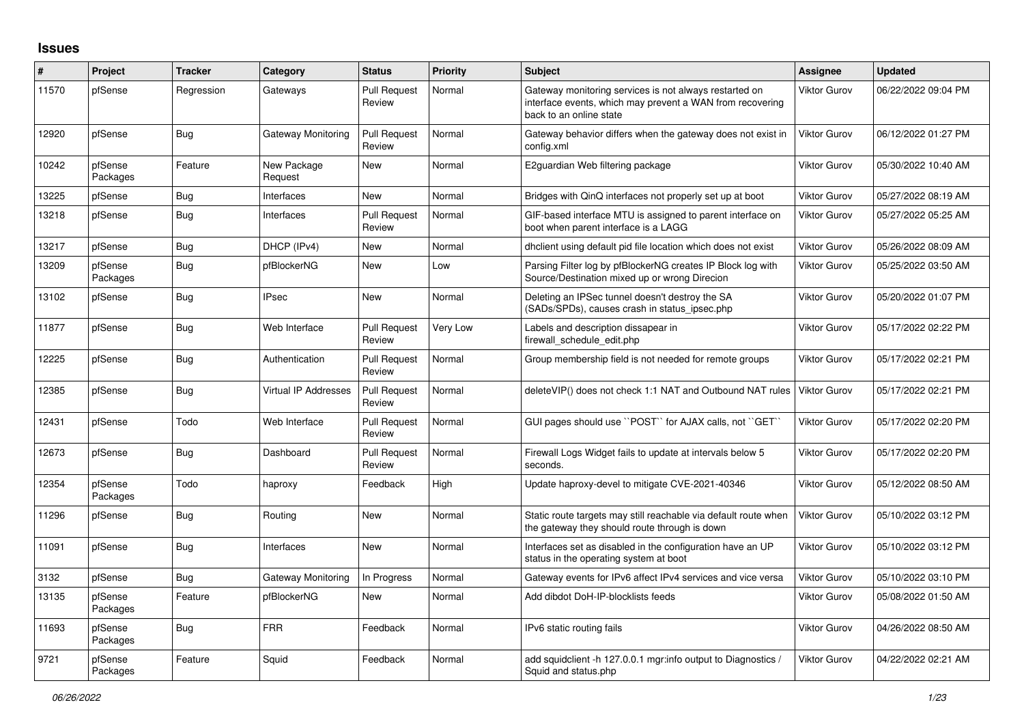## **Issues**

| $\#$  | Project             | <b>Tracker</b> | Category               | <b>Status</b>                 | <b>Priority</b> | <b>Subject</b>                                                                                                                                 | <b>Assignee</b>     | <b>Updated</b>      |
|-------|---------------------|----------------|------------------------|-------------------------------|-----------------|------------------------------------------------------------------------------------------------------------------------------------------------|---------------------|---------------------|
| 11570 | pfSense             | Regression     | Gateways               | <b>Pull Request</b><br>Review | Normal          | Gateway monitoring services is not always restarted on<br>interface events, which may prevent a WAN from recovering<br>back to an online state | <b>Viktor Gurov</b> | 06/22/2022 09:04 PM |
| 12920 | pfSense             | Bug            | Gateway Monitoring     | <b>Pull Request</b><br>Review | Normal          | Gateway behavior differs when the gateway does not exist in<br>config.xml                                                                      | <b>Viktor Gurov</b> | 06/12/2022 01:27 PM |
| 10242 | pfSense<br>Packages | Feature        | New Package<br>Request | New                           | Normal          | E2guardian Web filtering package                                                                                                               | <b>Viktor Gurov</b> | 05/30/2022 10:40 AM |
| 13225 | pfSense             | <b>Bug</b>     | Interfaces             | New                           | Normal          | Bridges with QinQ interfaces not properly set up at boot                                                                                       | <b>Viktor Gurov</b> | 05/27/2022 08:19 AM |
| 13218 | pfSense             | <b>Bug</b>     | Interfaces             | <b>Pull Request</b><br>Review | Normal          | GIF-based interface MTU is assigned to parent interface on<br>boot when parent interface is a LAGG                                             | <b>Viktor Gurov</b> | 05/27/2022 05:25 AM |
| 13217 | pfSense             | <b>Bug</b>     | DHCP (IPv4)            | New                           | Normal          | dhclient using default pid file location which does not exist                                                                                  | <b>Viktor Gurov</b> | 05/26/2022 08:09 AM |
| 13209 | pfSense<br>Packages | <b>Bug</b>     | pfBlockerNG            | New                           | Low             | Parsing Filter log by pfBlockerNG creates IP Block log with<br>Source/Destination mixed up or wrong Direcion                                   | <b>Viktor Gurov</b> | 05/25/2022 03:50 AM |
| 13102 | pfSense             | <b>Bug</b>     | <b>IPsec</b>           | <b>New</b>                    | Normal          | Deleting an IPSec tunnel doesn't destroy the SA<br>(SADs/SPDs), causes crash in status_ipsec.php                                               | Viktor Gurov        | 05/20/2022 01:07 PM |
| 11877 | pfSense             | <b>Bug</b>     | Web Interface          | <b>Pull Request</b><br>Review | Very Low        | Labels and description dissapear in<br>firewall schedule edit.php                                                                              | <b>Viktor Gurov</b> | 05/17/2022 02:22 PM |
| 12225 | pfSense             | <b>Bug</b>     | Authentication         | <b>Pull Request</b><br>Review | Normal          | Group membership field is not needed for remote groups                                                                                         | <b>Viktor Gurov</b> | 05/17/2022 02:21 PM |
| 12385 | pfSense             | Bug            | Virtual IP Addresses   | <b>Pull Request</b><br>Review | Normal          | deleteVIP() does not check 1:1 NAT and Outbound NAT rules                                                                                      | <b>Viktor Gurov</b> | 05/17/2022 02:21 PM |
| 12431 | pfSense             | Todo           | Web Interface          | <b>Pull Request</b><br>Review | Normal          | GUI pages should use "POST" for AJAX calls, not "GET"                                                                                          | <b>Viktor Gurov</b> | 05/17/2022 02:20 PM |
| 12673 | pfSense             | <b>Bug</b>     | Dashboard              | <b>Pull Request</b><br>Review | Normal          | Firewall Logs Widget fails to update at intervals below 5<br>seconds.                                                                          | <b>Viktor Gurov</b> | 05/17/2022 02:20 PM |
| 12354 | pfSense<br>Packages | Todo           | haproxy                | Feedback                      | High            | Update haproxy-devel to mitigate CVE-2021-40346                                                                                                | <b>Viktor Gurov</b> | 05/12/2022 08:50 AM |
| 11296 | pfSense             | Bug            | Routing                | New                           | Normal          | Static route targets may still reachable via default route when<br>the gateway they should route through is down                               | <b>Viktor Gurov</b> | 05/10/2022 03:12 PM |
| 11091 | pfSense             | Bug            | Interfaces             | New                           | Normal          | Interfaces set as disabled in the configuration have an UP<br>status in the operating system at boot                                           | <b>Viktor Gurov</b> | 05/10/2022 03:12 PM |
| 3132  | pfSense             | Bug            | Gateway Monitoring     | In Progress                   | Normal          | Gateway events for IPv6 affect IPv4 services and vice versa                                                                                    | Viktor Gurov        | 05/10/2022 03:10 PM |
| 13135 | pfSense<br>Packages | Feature        | pfBlockerNG            | <b>New</b>                    | Normal          | Add dibdot DoH-IP-blocklists feeds                                                                                                             | <b>Viktor Gurov</b> | 05/08/2022 01:50 AM |
| 11693 | pfSense<br>Packages | <b>Bug</b>     | <b>FRR</b>             | Feedback                      | Normal          | IPv6 static routing fails                                                                                                                      | <b>Viktor Gurov</b> | 04/26/2022 08:50 AM |
| 9721  | pfSense<br>Packages | Feature        | Squid                  | Feedback                      | Normal          | add squidclient -h 127.0.0.1 mgr:info output to Diagnostics /<br>Squid and status.php                                                          | <b>Viktor Gurov</b> | 04/22/2022 02:21 AM |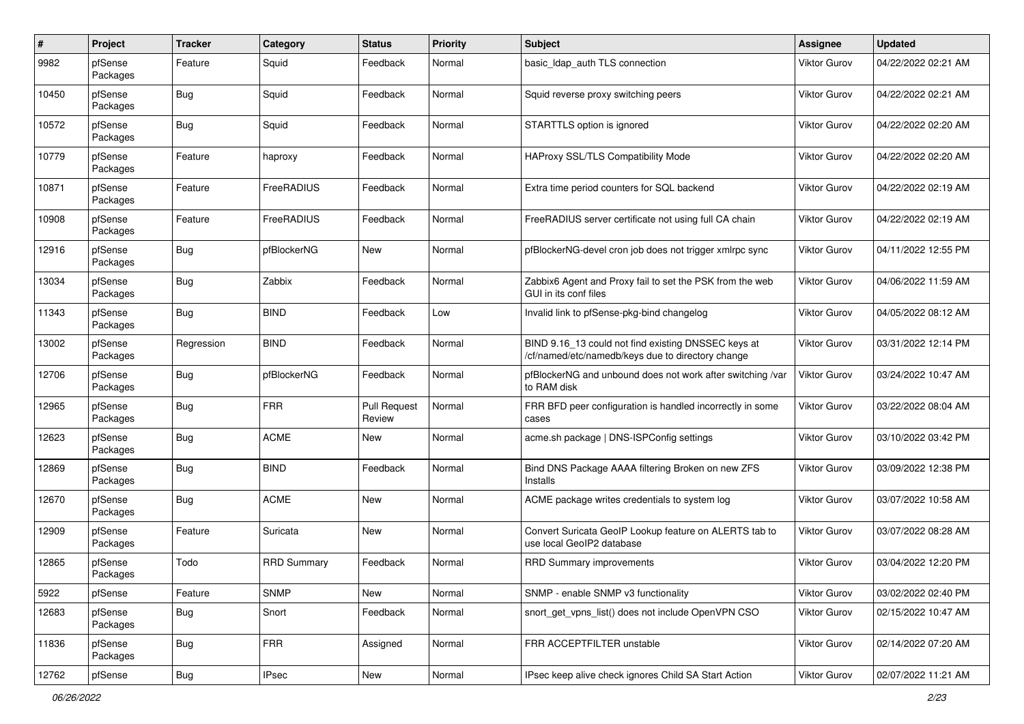| $\pmb{\#}$ | Project             | <b>Tracker</b> | Category           | <b>Status</b>                 | <b>Priority</b> | <b>Subject</b>                                                                                           | <b>Assignee</b>     | <b>Updated</b>      |
|------------|---------------------|----------------|--------------------|-------------------------------|-----------------|----------------------------------------------------------------------------------------------------------|---------------------|---------------------|
| 9982       | pfSense<br>Packages | Feature        | Squid              | Feedback                      | Normal          | basic Idap auth TLS connection                                                                           | <b>Viktor Gurov</b> | 04/22/2022 02:21 AM |
| 10450      | pfSense<br>Packages | <b>Bug</b>     | Squid              | Feedback                      | Normal          | Squid reverse proxy switching peers                                                                      | <b>Viktor Gurov</b> | 04/22/2022 02:21 AM |
| 10572      | pfSense<br>Packages | <b>Bug</b>     | Squid              | Feedback                      | Normal          | STARTTLS option is ignored                                                                               | <b>Viktor Gurov</b> | 04/22/2022 02:20 AM |
| 10779      | pfSense<br>Packages | Feature        | haproxy            | Feedback                      | Normal          | HAProxy SSL/TLS Compatibility Mode                                                                       | <b>Viktor Gurov</b> | 04/22/2022 02:20 AM |
| 10871      | pfSense<br>Packages | Feature        | FreeRADIUS         | Feedback                      | Normal          | Extra time period counters for SQL backend                                                               | Viktor Gurov        | 04/22/2022 02:19 AM |
| 10908      | pfSense<br>Packages | Feature        | FreeRADIUS         | Feedback                      | Normal          | FreeRADIUS server certificate not using full CA chain                                                    | Viktor Gurov        | 04/22/2022 02:19 AM |
| 12916      | pfSense<br>Packages | <b>Bug</b>     | pfBlockerNG        | New                           | Normal          | pfBlockerNG-devel cron job does not trigger xmlrpc sync                                                  | Viktor Gurov        | 04/11/2022 12:55 PM |
| 13034      | pfSense<br>Packages | <b>Bug</b>     | Zabbix             | Feedback                      | Normal          | Zabbix6 Agent and Proxy fail to set the PSK from the web<br>GUI in its conf files                        | Viktor Gurov        | 04/06/2022 11:59 AM |
| 11343      | pfSense<br>Packages | <b>Bug</b>     | <b>BIND</b>        | Feedback                      | Low             | Invalid link to pfSense-pkg-bind changelog                                                               | <b>Viktor Gurov</b> | 04/05/2022 08:12 AM |
| 13002      | pfSense<br>Packages | Regression     | <b>BIND</b>        | Feedback                      | Normal          | BIND 9.16_13 could not find existing DNSSEC keys at<br>/cf/named/etc/namedb/keys due to directory change | <b>Viktor Gurov</b> | 03/31/2022 12:14 PM |
| 12706      | pfSense<br>Packages | <b>Bug</b>     | pfBlockerNG        | Feedback                      | Normal          | pfBlockerNG and unbound does not work after switching/var<br>to RAM disk                                 | Viktor Gurov        | 03/24/2022 10:47 AM |
| 12965      | pfSense<br>Packages | <b>Bug</b>     | <b>FRR</b>         | <b>Pull Request</b><br>Review | Normal          | FRR BFD peer configuration is handled incorrectly in some<br>cases                                       | <b>Viktor Gurov</b> | 03/22/2022 08:04 AM |
| 12623      | pfSense<br>Packages | Bug            | <b>ACME</b>        | New                           | Normal          | acme.sh package   DNS-ISPConfig settings                                                                 | Viktor Gurov        | 03/10/2022 03:42 PM |
| 12869      | pfSense<br>Packages | <b>Bug</b>     | <b>BIND</b>        | Feedback                      | Normal          | Bind DNS Package AAAA filtering Broken on new ZFS<br>Installs                                            | Viktor Gurov        | 03/09/2022 12:38 PM |
| 12670      | pfSense<br>Packages | <b>Bug</b>     | <b>ACME</b>        | New                           | Normal          | ACME package writes credentials to system log                                                            | Viktor Gurov        | 03/07/2022 10:58 AM |
| 12909      | pfSense<br>Packages | Feature        | Suricata           | New                           | Normal          | Convert Suricata GeoIP Lookup feature on ALERTS tab to<br>use local GeoIP2 database                      | <b>Viktor Gurov</b> | 03/07/2022 08:28 AM |
| 12865      | pfSense<br>Packages | Todo           | <b>RRD Summary</b> | Feedback                      | Normal          | <b>RRD Summary improvements</b>                                                                          | Viktor Gurov        | 03/04/2022 12:20 PM |
| 5922       | pfSense             | Feature        | <b>SNMP</b>        | <b>New</b>                    | Normal          | SNMP - enable SNMP v3 functionality                                                                      | Viktor Gurov        | 03/02/2022 02:40 PM |
| 12683      | pfSense<br>Packages | <b>Bug</b>     | Snort              | Feedback                      | Normal          | snort_get_vpns_list() does not include OpenVPN CSO                                                       | Viktor Gurov        | 02/15/2022 10:47 AM |
| 11836      | pfSense<br>Packages | Bug            | <b>FRR</b>         | Assigned                      | Normal          | FRR ACCEPTFILTER unstable                                                                                | Viktor Gurov        | 02/14/2022 07:20 AM |
| 12762      | pfSense             | Bug            | <b>IPsec</b>       | New                           | Normal          | IPsec keep alive check ignores Child SA Start Action                                                     | Viktor Gurov        | 02/07/2022 11:21 AM |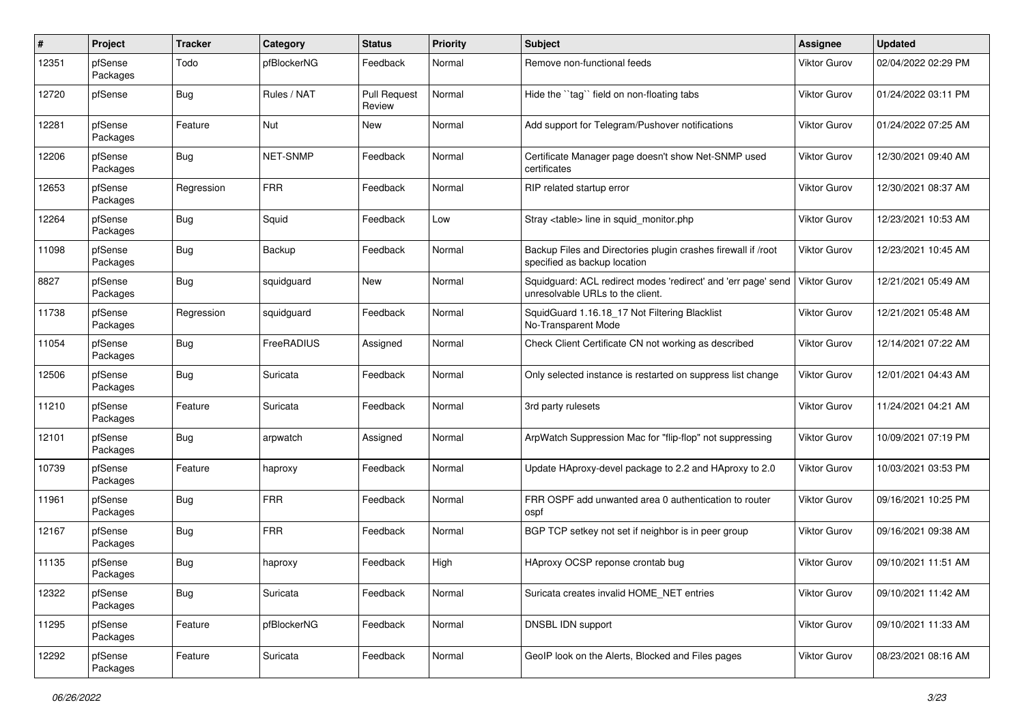| #     | Project             | <b>Tracker</b> | Category        | <b>Status</b>                 | <b>Priority</b> | <b>Subject</b>                                                                                    | <b>Assignee</b>     | <b>Updated</b>      |
|-------|---------------------|----------------|-----------------|-------------------------------|-----------------|---------------------------------------------------------------------------------------------------|---------------------|---------------------|
| 12351 | pfSense<br>Packages | Todo           | pfBlockerNG     | Feedback                      | Normal          | Remove non-functional feeds                                                                       | <b>Viktor Gurov</b> | 02/04/2022 02:29 PM |
| 12720 | pfSense             | <b>Bug</b>     | Rules / NAT     | <b>Pull Request</b><br>Review | Normal          | Hide the "tag" field on non-floating tabs                                                         | <b>Viktor Gurov</b> | 01/24/2022 03:11 PM |
| 12281 | pfSense<br>Packages | Feature        | Nut             | <b>New</b>                    | Normal          | Add support for Telegram/Pushover notifications                                                   | <b>Viktor Gurov</b> | 01/24/2022 07:25 AM |
| 12206 | pfSense<br>Packages | <b>Bug</b>     | <b>NET-SNMP</b> | Feedback                      | Normal          | Certificate Manager page doesn't show Net-SNMP used<br>certificates                               | <b>Viktor Gurov</b> | 12/30/2021 09:40 AM |
| 12653 | pfSense<br>Packages | Regression     | <b>FRR</b>      | Feedback                      | Normal          | RIP related startup error                                                                         | Viktor Gurov        | 12/30/2021 08:37 AM |
| 12264 | pfSense<br>Packages | Bug            | Squid           | Feedback                      | Low             | Stray <table> line in squid monitor.php</table>                                                   | Viktor Gurov        | 12/23/2021 10:53 AM |
| 11098 | pfSense<br>Packages | <b>Bug</b>     | Backup          | Feedback                      | Normal          | Backup Files and Directories plugin crashes firewall if /root<br>specified as backup location     | <b>Viktor Gurov</b> | 12/23/2021 10:45 AM |
| 8827  | pfSense<br>Packages | <b>Bug</b>     | squidguard      | New                           | Normal          | Squidguard: ACL redirect modes 'redirect' and 'err page' send<br>unresolvable URLs to the client. | <b>Viktor Gurov</b> | 12/21/2021 05:49 AM |
| 11738 | pfSense<br>Packages | Regression     | squidguard      | Feedback                      | Normal          | SquidGuard 1.16.18 17 Not Filtering Blacklist<br>No-Transparent Mode                              | <b>Viktor Gurov</b> | 12/21/2021 05:48 AM |
| 11054 | pfSense<br>Packages | <b>Bug</b>     | FreeRADIUS      | Assigned                      | Normal          | Check Client Certificate CN not working as described                                              | <b>Viktor Gurov</b> | 12/14/2021 07:22 AM |
| 12506 | pfSense<br>Packages | <b>Bug</b>     | Suricata        | Feedback                      | Normal          | Only selected instance is restarted on suppress list change                                       | <b>Viktor Gurov</b> | 12/01/2021 04:43 AM |
| 11210 | pfSense<br>Packages | Feature        | Suricata        | Feedback                      | Normal          | 3rd party rulesets                                                                                | <b>Viktor Gurov</b> | 11/24/2021 04:21 AM |
| 12101 | pfSense<br>Packages | Bug            | arpwatch        | Assigned                      | Normal          | ArpWatch Suppression Mac for "flip-flop" not suppressing                                          | <b>Viktor Gurov</b> | 10/09/2021 07:19 PM |
| 10739 | pfSense<br>Packages | Feature        | haproxy         | Feedback                      | Normal          | Update HAproxy-devel package to 2.2 and HAproxy to 2.0                                            | Viktor Gurov        | 10/03/2021 03:53 PM |
| 11961 | pfSense<br>Packages | <b>Bug</b>     | <b>FRR</b>      | Feedback                      | Normal          | FRR OSPF add unwanted area 0 authentication to router<br>ospf                                     | <b>Viktor Gurov</b> | 09/16/2021 10:25 PM |
| 12167 | pfSense<br>Packages | Bug            | <b>FRR</b>      | Feedback                      | Normal          | BGP TCP setkey not set if neighbor is in peer group                                               | Viktor Gurov        | 09/16/2021 09:38 AM |
| 11135 | pfSense<br>Packages | <b>Bug</b>     | haproxy         | Feedback                      | High            | HAproxy OCSP reponse crontab bug                                                                  | <b>Viktor Gurov</b> | 09/10/2021 11:51 AM |
| 12322 | pfSense<br>Packages | <b>Bug</b>     | Suricata        | Feedback                      | Normal          | Suricata creates invalid HOME_NET entries                                                         | Viktor Gurov        | 09/10/2021 11:42 AM |
| 11295 | pfSense<br>Packages | Feature        | pfBlockerNG     | Feedback                      | Normal          | DNSBL IDN support                                                                                 | Viktor Gurov        | 09/10/2021 11:33 AM |
| 12292 | pfSense<br>Packages | Feature        | Suricata        | Feedback                      | Normal          | GeoIP look on the Alerts, Blocked and Files pages                                                 | Viktor Gurov        | 08/23/2021 08:16 AM |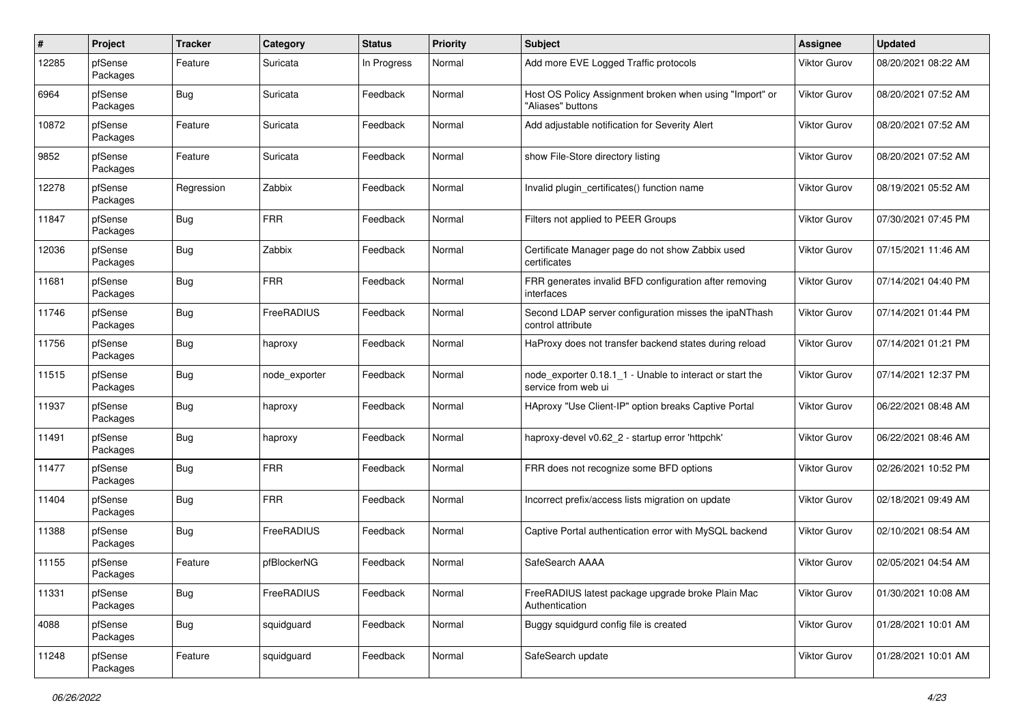| $\pmb{\#}$ | Project             | <b>Tracker</b> | Category      | <b>Status</b> | <b>Priority</b> | Subject                                                                         | <b>Assignee</b>     | <b>Updated</b>      |
|------------|---------------------|----------------|---------------|---------------|-----------------|---------------------------------------------------------------------------------|---------------------|---------------------|
| 12285      | pfSense<br>Packages | Feature        | Suricata      | In Progress   | Normal          | Add more EVE Logged Traffic protocols                                           | <b>Viktor Gurov</b> | 08/20/2021 08:22 AM |
| 6964       | pfSense<br>Packages | Bug            | Suricata      | Feedback      | Normal          | Host OS Policy Assignment broken when using "Import" or<br>'Aliases" buttons    | <b>Viktor Gurov</b> | 08/20/2021 07:52 AM |
| 10872      | pfSense<br>Packages | Feature        | Suricata      | Feedback      | Normal          | Add adjustable notification for Severity Alert                                  | Viktor Gurov        | 08/20/2021 07:52 AM |
| 9852       | pfSense<br>Packages | Feature        | Suricata      | Feedback      | Normal          | show File-Store directory listing                                               | <b>Viktor Gurov</b> | 08/20/2021 07:52 AM |
| 12278      | pfSense<br>Packages | Regression     | Zabbix        | Feedback      | Normal          | Invalid plugin_certificates() function name                                     | Viktor Gurov        | 08/19/2021 05:52 AM |
| 11847      | pfSense<br>Packages | Bug            | <b>FRR</b>    | Feedback      | Normal          | Filters not applied to PEER Groups                                              | Viktor Gurov        | 07/30/2021 07:45 PM |
| 12036      | pfSense<br>Packages | Bug            | Zabbix        | Feedback      | Normal          | Certificate Manager page do not show Zabbix used<br>certificates                | <b>Viktor Gurov</b> | 07/15/2021 11:46 AM |
| 11681      | pfSense<br>Packages | Bug            | <b>FRR</b>    | Feedback      | Normal          | FRR generates invalid BFD configuration after removing<br>interfaces            | <b>Viktor Gurov</b> | 07/14/2021 04:40 PM |
| 11746      | pfSense<br>Packages | Bug            | FreeRADIUS    | Feedback      | Normal          | Second LDAP server configuration misses the ipaNThash<br>control attribute      | <b>Viktor Gurov</b> | 07/14/2021 01:44 PM |
| 11756      | pfSense<br>Packages | <b>Bug</b>     | haproxy       | Feedback      | Normal          | HaProxy does not transfer backend states during reload                          | Viktor Gurov        | 07/14/2021 01:21 PM |
| 11515      | pfSense<br>Packages | <b>Bug</b>     | node exporter | Feedback      | Normal          | node exporter 0.18.1 1 - Unable to interact or start the<br>service from web ui | <b>Viktor Gurov</b> | 07/14/2021 12:37 PM |
| 11937      | pfSense<br>Packages | <b>Bug</b>     | haproxy       | Feedback      | Normal          | HAproxy "Use Client-IP" option breaks Captive Portal                            | Viktor Gurov        | 06/22/2021 08:48 AM |
| 11491      | pfSense<br>Packages | Bug            | haproxy       | Feedback      | Normal          | haproxy-devel v0.62 2 - startup error 'httpchk'                                 | Viktor Gurov        | 06/22/2021 08:46 AM |
| 11477      | pfSense<br>Packages | <b>Bug</b>     | <b>FRR</b>    | Feedback      | Normal          | FRR does not recognize some BFD options                                         | Viktor Gurov        | 02/26/2021 10:52 PM |
| 11404      | pfSense<br>Packages | Bug            | <b>FRR</b>    | Feedback      | Normal          | Incorrect prefix/access lists migration on update                               | <b>Viktor Gurov</b> | 02/18/2021 09:49 AM |
| 11388      | pfSense<br>Packages | Bug            | FreeRADIUS    | Feedback      | Normal          | Captive Portal authentication error with MySQL backend                          | Viktor Gurov        | 02/10/2021 08:54 AM |
| 11155      | pfSense<br>Packages | Feature        | pfBlockerNG   | Feedback      | Normal          | SafeSearch AAAA                                                                 | Viktor Gurov        | 02/05/2021 04:54 AM |
| 11331      | pfSense<br>Packages | <b>Bug</b>     | FreeRADIUS    | Feedback      | Normal          | FreeRADIUS latest package upgrade broke Plain Mac<br>Authentication             | Viktor Gurov        | 01/30/2021 10:08 AM |
| 4088       | pfSense<br>Packages | <b>Bug</b>     | squidguard    | Feedback      | Normal          | Buggy squidgurd config file is created                                          | Viktor Gurov        | 01/28/2021 10:01 AM |
| 11248      | pfSense<br>Packages | Feature        | squidguard    | Feedback      | Normal          | SafeSearch update                                                               | Viktor Gurov        | 01/28/2021 10:01 AM |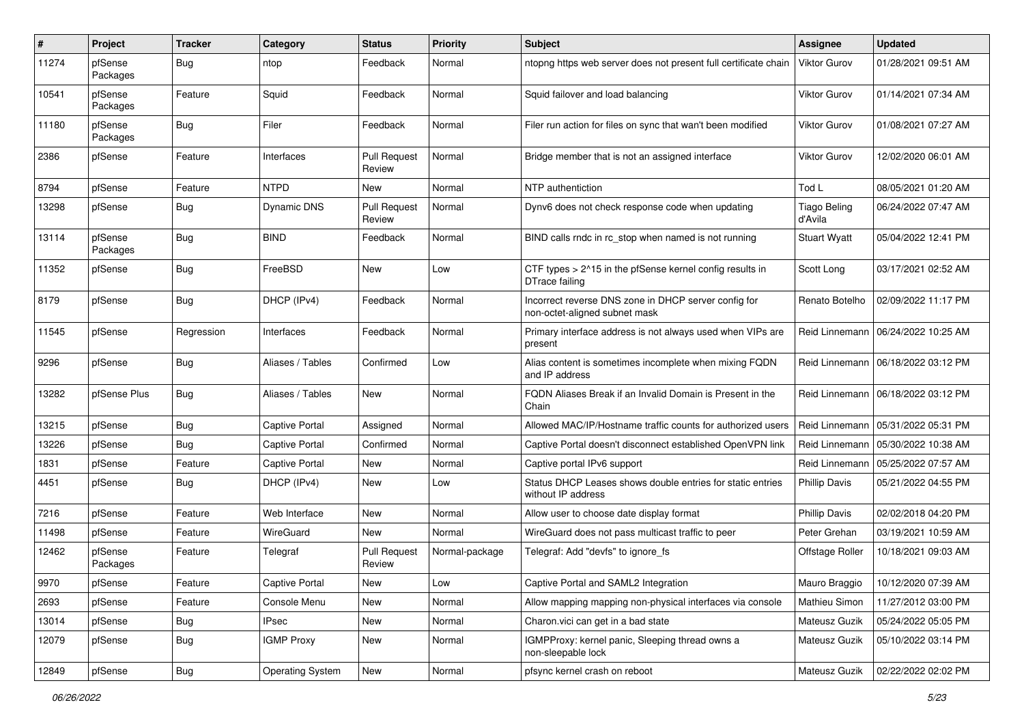| $\sharp$ | Project             | <b>Tracker</b>   | Category                | <b>Status</b>                 | <b>Priority</b> | <b>Subject</b>                                                                        | <b>Assignee</b>                | <b>Updated</b>      |
|----------|---------------------|------------------|-------------------------|-------------------------------|-----------------|---------------------------------------------------------------------------------------|--------------------------------|---------------------|
| 11274    | pfSense<br>Packages | Bug              | ntop                    | Feedback                      | Normal          | ntopng https web server does not present full certificate chain                       | <b>Viktor Gurov</b>            | 01/28/2021 09:51 AM |
| 10541    | pfSense<br>Packages | Feature          | Squid                   | Feedback                      | Normal          | Squid failover and load balancing                                                     | <b>Viktor Gurov</b>            | 01/14/2021 07:34 AM |
| 11180    | pfSense<br>Packages | Bug              | Filer                   | Feedback                      | Normal          | Filer run action for files on sync that wan't been modified                           | <b>Viktor Gurov</b>            | 01/08/2021 07:27 AM |
| 2386     | pfSense             | Feature          | Interfaces              | <b>Pull Request</b><br>Review | Normal          | Bridge member that is not an assigned interface                                       | <b>Viktor Gurov</b>            | 12/02/2020 06:01 AM |
| 8794     | pfSense             | Feature          | <b>NTPD</b>             | New                           | Normal          | NTP authentiction                                                                     | Tod L                          | 08/05/2021 01:20 AM |
| 13298    | pfSense             | <b>Bug</b>       | Dynamic DNS             | <b>Pull Request</b><br>Review | Normal          | Dynv6 does not check response code when updating                                      | <b>Tiago Beling</b><br>d'Avila | 06/24/2022 07:47 AM |
| 13114    | pfSense<br>Packages | Bug              | <b>BIND</b>             | Feedback                      | Normal          | BIND calls rndc in rc_stop when named is not running                                  | <b>Stuart Wyatt</b>            | 05/04/2022 12:41 PM |
| 11352    | pfSense             | Bug              | FreeBSD                 | New                           | Low             | CTF types > 2^15 in the pfSense kernel config results in<br><b>DTrace failing</b>     | Scott Long                     | 03/17/2021 02:52 AM |
| 8179     | pfSense             | Bug              | DHCP (IPv4)             | Feedback                      | Normal          | Incorrect reverse DNS zone in DHCP server config for<br>non-octet-aligned subnet mask | Renato Botelho                 | 02/09/2022 11:17 PM |
| 11545    | pfSense             | Regression       | Interfaces              | Feedback                      | Normal          | Primary interface address is not always used when VIPs are<br>present                 | Reid Linnemann                 | 06/24/2022 10:25 AM |
| 9296     | pfSense             | Bug              | Aliases / Tables        | Confirmed                     | Low             | Alias content is sometimes incomplete when mixing FQDN<br>and IP address              | Reid Linnemann                 | 06/18/2022 03:12 PM |
| 13282    | pfSense Plus        | Bug              | Aliases / Tables        | New                           | Normal          | FQDN Aliases Break if an Invalid Domain is Present in the<br>Chain                    | Reid Linnemann                 | 06/18/2022 03:12 PM |
| 13215    | pfSense             | <b>Bug</b>       | <b>Captive Portal</b>   | Assigned                      | Normal          | Allowed MAC/IP/Hostname traffic counts for authorized users                           | Reid Linnemann                 | 05/31/2022 05:31 PM |
| 13226    | pfSense             | Bug              | Captive Portal          | Confirmed                     | Normal          | Captive Portal doesn't disconnect established OpenVPN link                            | Reid Linnemann                 | 05/30/2022 10:38 AM |
| 1831     | pfSense             | Feature          | <b>Captive Portal</b>   | New                           | Normal          | Captive portal IPv6 support                                                           | Reid Linnemann                 | 05/25/2022 07:57 AM |
| 4451     | pfSense             | Bug              | DHCP (IPv4)             | New                           | Low             | Status DHCP Leases shows double entries for static entries<br>without IP address      | <b>Phillip Davis</b>           | 05/21/2022 04:55 PM |
| 7216     | pfSense             | Feature          | Web Interface           | New                           | Normal          | Allow user to choose date display format                                              | <b>Phillip Davis</b>           | 02/02/2018 04:20 PM |
| 11498    | pfSense             | Feature          | WireGuard               | New                           | Normal          | WireGuard does not pass multicast traffic to peer                                     | Peter Grehan                   | 03/19/2021 10:59 AM |
| 12462    | pfSense<br>Packages | Feature          | Telegraf                | <b>Pull Request</b><br>Review | Normal-package  | Telegraf: Add "devfs" to ignore fs                                                    | Offstage Roller                | 10/18/2021 09:03 AM |
| 9970     | pfSense             | Feature          | Captive Portal          | New                           | Low             | Captive Portal and SAML2 Integration                                                  | Mauro Braggio                  | 10/12/2020 07:39 AM |
| 2693     | pfSense             | Feature          | Console Menu            | New                           | Normal          | Allow mapping mapping non-physical interfaces via console                             | Mathieu Simon                  | 11/27/2012 03:00 PM |
| 13014    | pfSense             | Bug              | <b>IPsec</b>            | New                           | Normal          | Charon.vici can get in a bad state                                                    | Mateusz Guzik                  | 05/24/2022 05:05 PM |
| 12079    | pfSense             | Bug              | <b>IGMP Proxy</b>       | New                           | Normal          | IGMPProxy: kernel panic, Sleeping thread owns a<br>non-sleepable lock                 | Mateusz Guzik                  | 05/10/2022 03:14 PM |
| 12849    | pfSense             | <sub>I</sub> Bug | <b>Operating System</b> | New                           | Normal          | pfsync kernel crash on reboot                                                         | Mateusz Guzik                  | 02/22/2022 02:02 PM |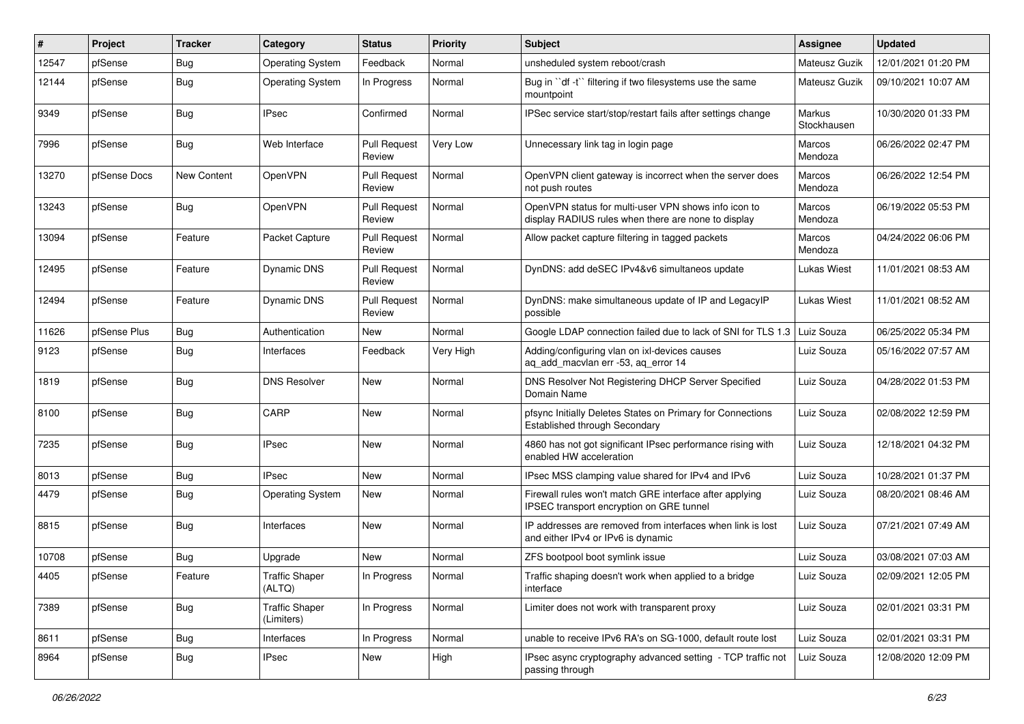| ∦     | Project      | <b>Tracker</b> | Category                            | <b>Status</b>                 | <b>Priority</b> | <b>Subject</b>                                                                                              | Assignee              | <b>Updated</b>      |
|-------|--------------|----------------|-------------------------------------|-------------------------------|-----------------|-------------------------------------------------------------------------------------------------------------|-----------------------|---------------------|
| 12547 | pfSense      | Bug            | <b>Operating System</b>             | Feedback                      | Normal          | unsheduled system reboot/crash                                                                              | Mateusz Guzik         | 12/01/2021 01:20 PM |
| 12144 | pfSense      | Bug            | <b>Operating System</b>             | In Progress                   | Normal          | Bug in "df -t" filtering if two filesystems use the same<br>mountpoint                                      | Mateusz Guzik         | 09/10/2021 10:07 AM |
| 9349  | pfSense      | <b>Bug</b>     | <b>IPsec</b>                        | Confirmed                     | Normal          | IPSec service start/stop/restart fails after settings change                                                | Markus<br>Stockhausen | 10/30/2020 01:33 PM |
| 7996  | pfSense      | Bug            | Web Interface                       | <b>Pull Request</b><br>Review | Very Low        | Unnecessary link tag in login page                                                                          | Marcos<br>Mendoza     | 06/26/2022 02:47 PM |
| 13270 | pfSense Docs | New Content    | OpenVPN                             | <b>Pull Request</b><br>Review | Normal          | OpenVPN client gateway is incorrect when the server does<br>not push routes                                 | Marcos<br>Mendoza     | 06/26/2022 12:54 PM |
| 13243 | pfSense      | Bug            | OpenVPN                             | <b>Pull Request</b><br>Review | Normal          | OpenVPN status for multi-user VPN shows info icon to<br>display RADIUS rules when there are none to display | Marcos<br>Mendoza     | 06/19/2022 05:53 PM |
| 13094 | pfSense      | Feature        | Packet Capture                      | <b>Pull Request</b><br>Review | Normal          | Allow packet capture filtering in tagged packets                                                            | Marcos<br>Mendoza     | 04/24/2022 06:06 PM |
| 12495 | pfSense      | Feature        | Dynamic DNS                         | <b>Pull Request</b><br>Review | Normal          | DynDNS: add deSEC IPv4&v6 simultaneos update                                                                | Lukas Wiest           | 11/01/2021 08:53 AM |
| 12494 | pfSense      | Feature        | <b>Dynamic DNS</b>                  | <b>Pull Request</b><br>Review | Normal          | DynDNS: make simultaneous update of IP and LegacyIP<br>possible                                             | Lukas Wiest           | 11/01/2021 08:52 AM |
| 11626 | pfSense Plus | <b>Bug</b>     | Authentication                      | New                           | Normal          | Google LDAP connection failed due to lack of SNI for TLS 1.3 Luiz Souza                                     |                       | 06/25/2022 05:34 PM |
| 9123  | pfSense      | Bug            | Interfaces                          | Feedback                      | Very High       | Adding/configuring vlan on ixl-devices causes<br>ag add macvlan err -53, ag error 14                        | Luiz Souza            | 05/16/2022 07:57 AM |
| 1819  | pfSense      | Bug            | <b>DNS Resolver</b>                 | New                           | Normal          | DNS Resolver Not Registering DHCP Server Specified<br>Domain Name                                           | Luiz Souza            | 04/28/2022 01:53 PM |
| 8100  | pfSense      | Bug            | CARP                                | New                           | Normal          | pfsync Initially Deletes States on Primary for Connections<br>Established through Secondary                 | Luiz Souza            | 02/08/2022 12:59 PM |
| 7235  | pfSense      | Bug            | <b>IPsec</b>                        | New                           | Normal          | 4860 has not got significant IPsec performance rising with<br>enabled HW acceleration                       | Luiz Souza            | 12/18/2021 04:32 PM |
| 8013  | pfSense      | <b>Bug</b>     | <b>IPsec</b>                        | New                           | Normal          | IPsec MSS clamping value shared for IPv4 and IPv6                                                           | Luiz Souza            | 10/28/2021 01:37 PM |
| 4479  | pfSense      | <b>Bug</b>     | <b>Operating System</b>             | New                           | Normal          | Firewall rules won't match GRE interface after applying<br>IPSEC transport encryption on GRE tunnel         | Luiz Souza            | 08/20/2021 08:46 AM |
| 8815  | pfSense      | Bug            | Interfaces                          | New                           | Normal          | IP addresses are removed from interfaces when link is lost<br>and either IPv4 or IPv6 is dynamic            | Luiz Souza            | 07/21/2021 07:49 AM |
| 10708 | pfSense      | Bug            | Upgrade                             | New                           | Normal          | ZFS bootpool boot symlink issue                                                                             | Luiz Souza            | 03/08/2021 07:03 AM |
| 4405  | pfSense      | Feature        | <b>Traffic Shaper</b><br>(ALTQ)     | In Progress                   | Normal          | Traffic shaping doesn't work when applied to a bridge<br>interface                                          | Luiz Souza            | 02/09/2021 12:05 PM |
| 7389  | pfSense      | <b>Bug</b>     | <b>Traffic Shaper</b><br>(Limiters) | In Progress                   | Normal          | Limiter does not work with transparent proxy                                                                | Luiz Souza            | 02/01/2021 03:31 PM |
| 8611  | pfSense      | Bug            | Interfaces                          | In Progress                   | Normal          | unable to receive IPv6 RA's on SG-1000, default route lost                                                  | Luiz Souza            | 02/01/2021 03:31 PM |
| 8964  | pfSense      | <b>Bug</b>     | <b>IPsec</b>                        | New                           | High            | IPsec async cryptography advanced setting - TCP traffic not<br>passing through                              | Luiz Souza            | 12/08/2020 12:09 PM |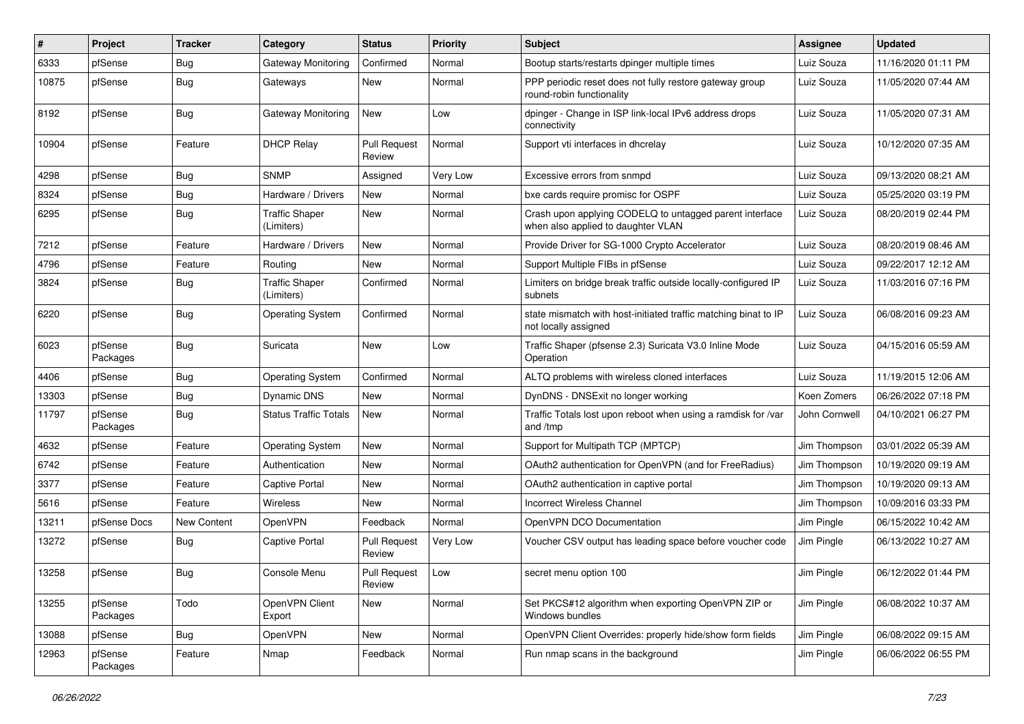| ∦     | Project             | <b>Tracker</b> | Category                            | <b>Status</b>                 | <b>Priority</b> | <b>Subject</b>                                                                                | Assignee      | <b>Updated</b>      |
|-------|---------------------|----------------|-------------------------------------|-------------------------------|-----------------|-----------------------------------------------------------------------------------------------|---------------|---------------------|
| 6333  | pfSense             | Bug            | <b>Gateway Monitoring</b>           | Confirmed                     | Normal          | Bootup starts/restarts dpinger multiple times                                                 | Luiz Souza    | 11/16/2020 01:11 PM |
| 10875 | pfSense             | <b>Bug</b>     | Gateways                            | New                           | Normal          | PPP periodic reset does not fully restore gateway group<br>round-robin functionality          | Luiz Souza    | 11/05/2020 07:44 AM |
| 8192  | pfSense             | Bug            | Gateway Monitoring                  | New                           | Low             | dpinger - Change in ISP link-local IPv6 address drops<br>connectivity                         | Luiz Souza    | 11/05/2020 07:31 AM |
| 10904 | pfSense             | Feature        | <b>DHCP Relay</b>                   | <b>Pull Request</b><br>Review | Normal          | Support vti interfaces in dhcrelay                                                            | Luiz Souza    | 10/12/2020 07:35 AM |
| 4298  | pfSense             | <b>Bug</b>     | <b>SNMP</b>                         | Assigned                      | Very Low        | Excessive errors from snmpd                                                                   | Luiz Souza    | 09/13/2020 08:21 AM |
| 8324  | pfSense             | Bug            | Hardware / Drivers                  | New                           | Normal          | bxe cards require promisc for OSPF                                                            | Luiz Souza    | 05/25/2020 03:19 PM |
| 6295  | pfSense             | <b>Bug</b>     | <b>Traffic Shaper</b><br>(Limiters) | New                           | Normal          | Crash upon applying CODELQ to untagged parent interface<br>when also applied to daughter VLAN | Luiz Souza    | 08/20/2019 02:44 PM |
| 7212  | pfSense             | Feature        | Hardware / Drivers                  | New                           | Normal          | Provide Driver for SG-1000 Crypto Accelerator                                                 | Luiz Souza    | 08/20/2019 08:46 AM |
| 4796  | pfSense             | Feature        | Routing                             | New                           | Normal          | Support Multiple FIBs in pfSense                                                              | Luiz Souza    | 09/22/2017 12:12 AM |
| 3824  | pfSense             | Bug            | <b>Traffic Shaper</b><br>(Limiters) | Confirmed                     | Normal          | Limiters on bridge break traffic outside locally-configured IP<br>subnets                     | Luiz Souza    | 11/03/2016 07:16 PM |
| 6220  | pfSense             | Bug            | <b>Operating System</b>             | Confirmed                     | Normal          | state mismatch with host-initiated traffic matching binat to IP<br>not locally assigned       | Luiz Souza    | 06/08/2016 09:23 AM |
| 6023  | pfSense<br>Packages | Bug            | Suricata                            | New                           | Low             | Traffic Shaper (pfsense 2.3) Suricata V3.0 Inline Mode<br>Operation                           | Luiz Souza    | 04/15/2016 05:59 AM |
| 4406  | pfSense             | Bug            | <b>Operating System</b>             | Confirmed                     | Normal          | ALTQ problems with wireless cloned interfaces                                                 | Luiz Souza    | 11/19/2015 12:06 AM |
| 13303 | pfSense             | Bug            | Dynamic DNS                         | New                           | Normal          | DynDNS - DNSExit no longer working                                                            | Koen Zomers   | 06/26/2022 07:18 PM |
| 11797 | pfSense<br>Packages | Bug            | <b>Status Traffic Totals</b>        | New                           | Normal          | Traffic Totals lost upon reboot when using a ramdisk for /var<br>and /tmp                     | John Cornwell | 04/10/2021 06:27 PM |
| 4632  | pfSense             | Feature        | <b>Operating System</b>             | New                           | Normal          | Support for Multipath TCP (MPTCP)                                                             | Jim Thompson  | 03/01/2022 05:39 AM |
| 6742  | pfSense             | Feature        | Authentication                      | New                           | Normal          | OAuth2 authentication for OpenVPN (and for FreeRadius)                                        | Jim Thompson  | 10/19/2020 09:19 AM |
| 3377  | pfSense             | Feature        | <b>Captive Portal</b>               | New                           | Normal          | OAuth2 authentication in captive portal                                                       | Jim Thompson  | 10/19/2020 09:13 AM |
| 5616  | pfSense             | Feature        | <b>Wireless</b>                     | New                           | Normal          | <b>Incorrect Wireless Channel</b>                                                             | Jim Thompson  | 10/09/2016 03:33 PM |
| 13211 | pfSense Docs        | New Content    | OpenVPN                             | Feedback                      | Normal          | OpenVPN DCO Documentation                                                                     | Jim Pingle    | 06/15/2022 10:42 AM |
| 13272 | pfSense             | <b>Bug</b>     | <b>Captive Portal</b>               | <b>Pull Request</b><br>Review | Very Low        | Voucher CSV output has leading space before voucher code                                      | Jim Pingle    | 06/13/2022 10:27 AM |
| 13258 | pfSense             | <b>Bug</b>     | Console Menu                        | <b>Pull Request</b><br>Review | Low             | secret menu option 100                                                                        | Jim Pingle    | 06/12/2022 01:44 PM |
| 13255 | pfSense<br>Packages | Todo           | OpenVPN Client<br>Export            | New                           | Normal          | Set PKCS#12 algorithm when exporting OpenVPN ZIP or<br>Windows bundles                        | Jim Pingle    | 06/08/2022 10:37 AM |
| 13088 | pfSense             | <b>Bug</b>     | OpenVPN                             | New                           | Normal          | OpenVPN Client Overrides: properly hide/show form fields                                      | Jim Pingle    | 06/08/2022 09:15 AM |
| 12963 | pfSense<br>Packages | Feature        | Nmap                                | Feedback                      | Normal          | Run nmap scans in the background                                                              | Jim Pingle    | 06/06/2022 06:55 PM |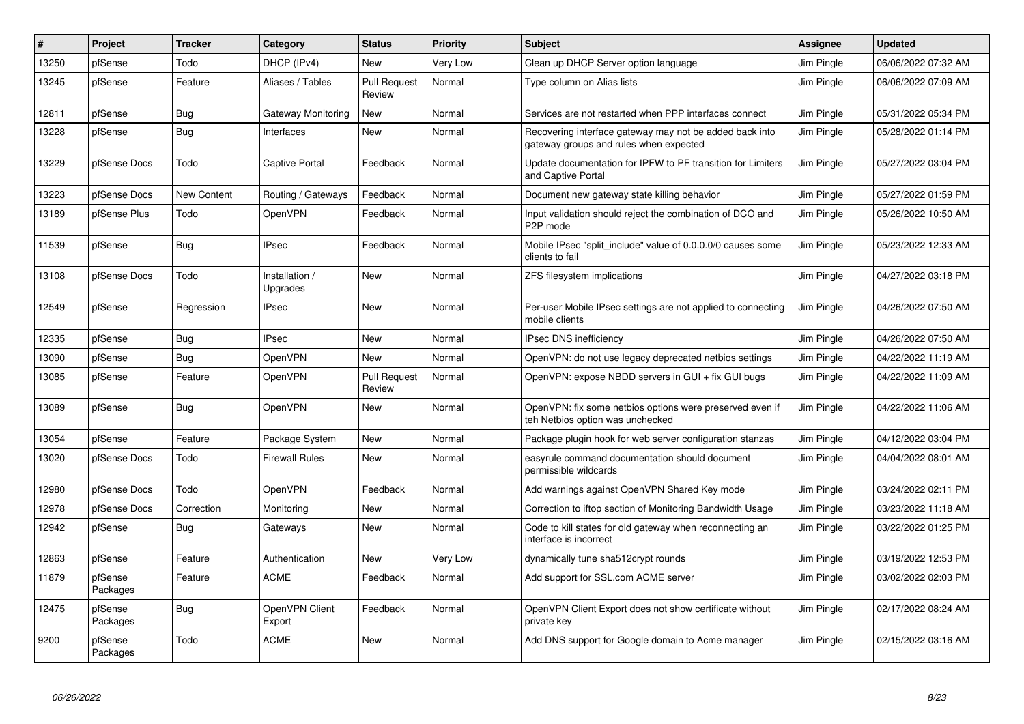| $\vert$ # | Project             | <b>Tracker</b> | Category                   | <b>Status</b>                 | <b>Priority</b> | <b>Subject</b>                                                                                    | <b>Assignee</b> | <b>Updated</b>      |
|-----------|---------------------|----------------|----------------------------|-------------------------------|-----------------|---------------------------------------------------------------------------------------------------|-----------------|---------------------|
| 13250     | pfSense             | Todo           | DHCP (IPv4)                | New                           | Very Low        | Clean up DHCP Server option language                                                              | Jim Pingle      | 06/06/2022 07:32 AM |
| 13245     | pfSense             | Feature        | Aliases / Tables           | <b>Pull Request</b><br>Review | Normal          | Type column on Alias lists                                                                        | Jim Pingle      | 06/06/2022 07:09 AM |
| 12811     | pfSense             | Bug            | Gateway Monitoring         | <b>New</b>                    | Normal          | Services are not restarted when PPP interfaces connect                                            | Jim Pingle      | 05/31/2022 05:34 PM |
| 13228     | pfSense             | <b>Bug</b>     | Interfaces                 | New                           | Normal          | Recovering interface gateway may not be added back into<br>gateway groups and rules when expected | Jim Pingle      | 05/28/2022 01:14 PM |
| 13229     | pfSense Docs        | Todo           | Captive Portal             | Feedback                      | Normal          | Update documentation for IPFW to PF transition for Limiters<br>and Captive Portal                 | Jim Pingle      | 05/27/2022 03:04 PM |
| 13223     | pfSense Docs        | New Content    | Routing / Gateways         | Feedback                      | Normal          | Document new gateway state killing behavior                                                       | Jim Pingle      | 05/27/2022 01:59 PM |
| 13189     | pfSense Plus        | Todo           | OpenVPN                    | Feedback                      | Normal          | Input validation should reject the combination of DCO and<br>P <sub>2</sub> P mode                | Jim Pingle      | 05/26/2022 10:50 AM |
| 11539     | pfSense             | <b>Bug</b>     | <b>IPsec</b>               | Feedback                      | Normal          | Mobile IPsec "split include" value of 0.0.0.0/0 causes some<br>clients to fail                    | Jim Pingle      | 05/23/2022 12:33 AM |
| 13108     | pfSense Docs        | Todo           | Installation /<br>Upgrades | New                           | Normal          | ZFS filesystem implications                                                                       | Jim Pingle      | 04/27/2022 03:18 PM |
| 12549     | pfSense             | Regression     | <b>IPsec</b>               | New                           | Normal          | Per-user Mobile IPsec settings are not applied to connecting<br>mobile clients                    | Jim Pingle      | 04/26/2022 07:50 AM |
| 12335     | pfSense             | <b>Bug</b>     | <b>IPsec</b>               | <b>New</b>                    | Normal          | <b>IPsec DNS inefficiency</b>                                                                     | Jim Pingle      | 04/26/2022 07:50 AM |
| 13090     | pfSense             | Bug            | OpenVPN                    | New                           | Normal          | OpenVPN: do not use legacy deprecated netbios settings                                            | Jim Pingle      | 04/22/2022 11:19 AM |
| 13085     | pfSense             | Feature        | OpenVPN                    | <b>Pull Request</b><br>Review | Normal          | OpenVPN: expose NBDD servers in GUI + fix GUI bugs                                                | Jim Pingle      | 04/22/2022 11:09 AM |
| 13089     | pfSense             | <b>Bug</b>     | OpenVPN                    | New                           | Normal          | OpenVPN: fix some netbios options were preserved even if<br>teh Netbios option was unchecked      | Jim Pingle      | 04/22/2022 11:06 AM |
| 13054     | pfSense             | Feature        | Package System             | <b>New</b>                    | Normal          | Package plugin hook for web server configuration stanzas                                          | Jim Pingle      | 04/12/2022 03:04 PM |
| 13020     | pfSense Docs        | Todo           | <b>Firewall Rules</b>      | New                           | Normal          | easyrule command documentation should document<br>permissible wildcards                           | Jim Pingle      | 04/04/2022 08:01 AM |
| 12980     | pfSense Docs        | Todo           | OpenVPN                    | Feedback                      | Normal          | Add warnings against OpenVPN Shared Key mode                                                      | Jim Pingle      | 03/24/2022 02:11 PM |
| 12978     | pfSense Docs        | Correction     | Monitoring                 | <b>New</b>                    | Normal          | Correction to iftop section of Monitoring Bandwidth Usage                                         | Jim Pingle      | 03/23/2022 11:18 AM |
| 12942     | pfSense             | Bug            | Gateways                   | New                           | Normal          | Code to kill states for old gateway when reconnecting an<br>interface is incorrect                | Jim Pingle      | 03/22/2022 01:25 PM |
| 12863     | pfSense             | Feature        | Authentication             | New                           | Very Low        | dynamically tune sha512crypt rounds                                                               | Jim Pingle      | 03/19/2022 12:53 PM |
| 11879     | pfSense<br>Packages | Feature        | <b>ACME</b>                | Feedback                      | Normal          | Add support for SSL.com ACME server                                                               | Jim Pingle      | 03/02/2022 02:03 PM |
| 12475     | pfSense<br>Packages | <b>Bug</b>     | OpenVPN Client<br>Export   | Feedback                      | Normal          | OpenVPN Client Export does not show certificate without<br>private key                            | Jim Pingle      | 02/17/2022 08:24 AM |
| 9200      | pfSense<br>Packages | Todo           | <b>ACME</b>                | <b>New</b>                    | Normal          | Add DNS support for Google domain to Acme manager                                                 | Jim Pingle      | 02/15/2022 03:16 AM |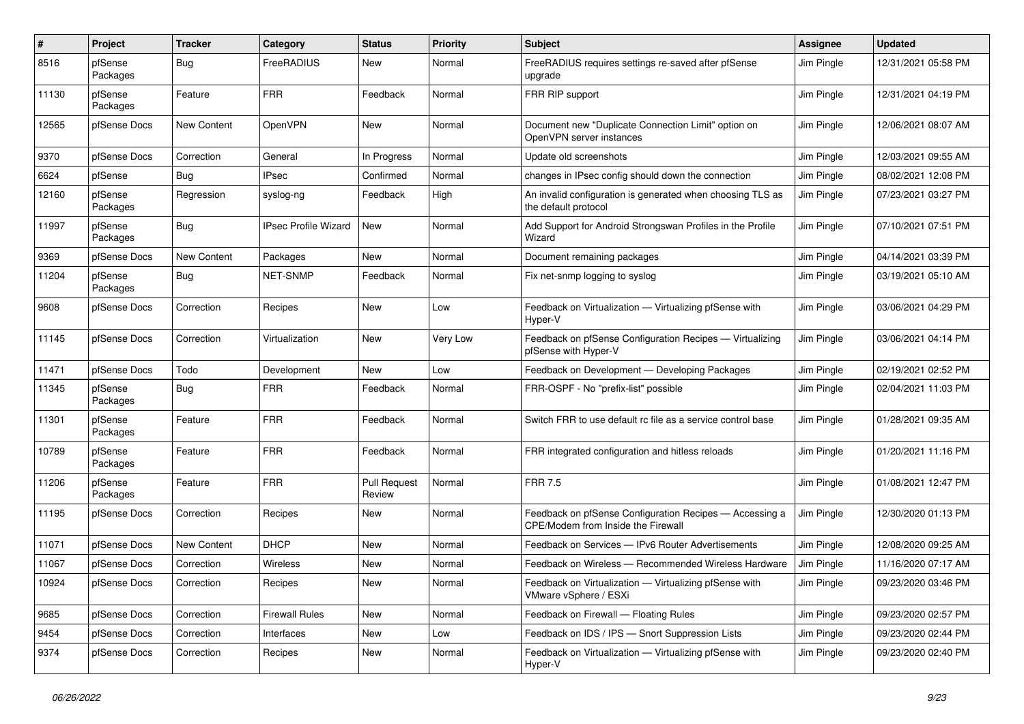| $\vert$ # | Project             | <b>Tracker</b> | Category                    | <b>Status</b>                 | <b>Priority</b> | <b>Subject</b>                                                                                       | Assignee   | <b>Updated</b>      |
|-----------|---------------------|----------------|-----------------------------|-------------------------------|-----------------|------------------------------------------------------------------------------------------------------|------------|---------------------|
| 8516      | pfSense<br>Packages | <b>Bug</b>     | FreeRADIUS                  | New                           | Normal          | FreeRADIUS requires settings re-saved after pfSense<br>upgrade                                       | Jim Pingle | 12/31/2021 05:58 PM |
| 11130     | pfSense<br>Packages | Feature        | <b>FRR</b>                  | Feedback                      | Normal          | FRR RIP support                                                                                      | Jim Pingle | 12/31/2021 04:19 PM |
| 12565     | pfSense Docs        | New Content    | OpenVPN                     | New                           | Normal          | Document new "Duplicate Connection Limit" option on<br>OpenVPN server instances                      | Jim Pingle | 12/06/2021 08:07 AM |
| 9370      | pfSense Docs        | Correction     | General                     | In Progress                   | Normal          | Update old screenshots                                                                               | Jim Pingle | 12/03/2021 09:55 AM |
| 6624      | pfSense             | Bug            | <b>IPsec</b>                | Confirmed                     | Normal          | changes in IPsec config should down the connection                                                   | Jim Pingle | 08/02/2021 12:08 PM |
| 12160     | pfSense<br>Packages | Regression     | syslog-ng                   | Feedback                      | High            | An invalid configuration is generated when choosing TLS as<br>the default protocol                   | Jim Pingle | 07/23/2021 03:27 PM |
| 11997     | pfSense<br>Packages | <b>Bug</b>     | <b>IPsec Profile Wizard</b> | <b>New</b>                    | Normal          | Add Support for Android Strongswan Profiles in the Profile<br>Wizard                                 | Jim Pingle | 07/10/2021 07:51 PM |
| 9369      | pfSense Docs        | New Content    | Packages                    | New                           | Normal          | Document remaining packages                                                                          | Jim Pingle | 04/14/2021 03:39 PM |
| 11204     | pfSense<br>Packages | Bug            | NET-SNMP                    | Feedback                      | Normal          | Fix net-snmp logging to syslog                                                                       | Jim Pingle | 03/19/2021 05:10 AM |
| 9608      | pfSense Docs        | Correction     | Recipes                     | New                           | Low             | Feedback on Virtualization - Virtualizing pfSense with<br>Hyper-V                                    | Jim Pingle | 03/06/2021 04:29 PM |
| 11145     | pfSense Docs        | Correction     | Virtualization              | New                           | Very Low        | Feedback on pfSense Configuration Recipes - Virtualizing<br>pfSense with Hyper-V                     | Jim Pingle | 03/06/2021 04:14 PM |
| 11471     | pfSense Docs        | Todo           | Development                 | New                           | Low             | Feedback on Development - Developing Packages                                                        | Jim Pingle | 02/19/2021 02:52 PM |
| 11345     | pfSense<br>Packages | <b>Bug</b>     | <b>FRR</b>                  | Feedback                      | Normal          | FRR-OSPF - No "prefix-list" possible                                                                 | Jim Pingle | 02/04/2021 11:03 PM |
| 11301     | pfSense<br>Packages | Feature        | <b>FRR</b>                  | Feedback                      | Normal          | Switch FRR to use default rc file as a service control base                                          | Jim Pingle | 01/28/2021 09:35 AM |
| 10789     | pfSense<br>Packages | Feature        | <b>FRR</b>                  | Feedback                      | Normal          | FRR integrated configuration and hitless reloads                                                     | Jim Pingle | 01/20/2021 11:16 PM |
| 11206     | pfSense<br>Packages | Feature        | <b>FRR</b>                  | <b>Pull Request</b><br>Review | Normal          | <b>FRR 7.5</b>                                                                                       | Jim Pingle | 01/08/2021 12:47 PM |
| 11195     | pfSense Docs        | Correction     | Recipes                     | New                           | Normal          | Feedback on pfSense Configuration Recipes - Accessing a<br><b>CPE/Modem from Inside the Firewall</b> | Jim Pingle | 12/30/2020 01:13 PM |
| 11071     | pfSense Docs        | New Content    | <b>DHCP</b>                 | <b>New</b>                    | Normal          | Feedback on Services - IPv6 Router Advertisements                                                    | Jim Pingle | 12/08/2020 09:25 AM |
| 11067     | pfSense Docs        | Correction     | <b>Wireless</b>             | <b>New</b>                    | Normal          | Feedback on Wireless - Recommended Wireless Hardware                                                 | Jim Pingle | 11/16/2020 07:17 AM |
| 10924     | pfSense Docs        | Correction     | Recipes                     | <b>New</b>                    | Normal          | Feedback on Virtualization - Virtualizing pfSense with<br>VMware vSphere / ESXi                      | Jim Pingle | 09/23/2020 03:46 PM |
| 9685      | pfSense Docs        | Correction     | <b>Firewall Rules</b>       | New                           | Normal          | Feedback on Firewall - Floating Rules                                                                | Jim Pingle | 09/23/2020 02:57 PM |
| 9454      | pfSense Docs        | Correction     | Interfaces                  | New                           | Low             | Feedback on IDS / IPS - Snort Suppression Lists                                                      | Jim Pingle | 09/23/2020 02:44 PM |
| 9374      | pfSense Docs        | Correction     | Recipes                     | New                           | Normal          | Feedback on Virtualization - Virtualizing pfSense with<br>Hyper-V                                    | Jim Pingle | 09/23/2020 02:40 PM |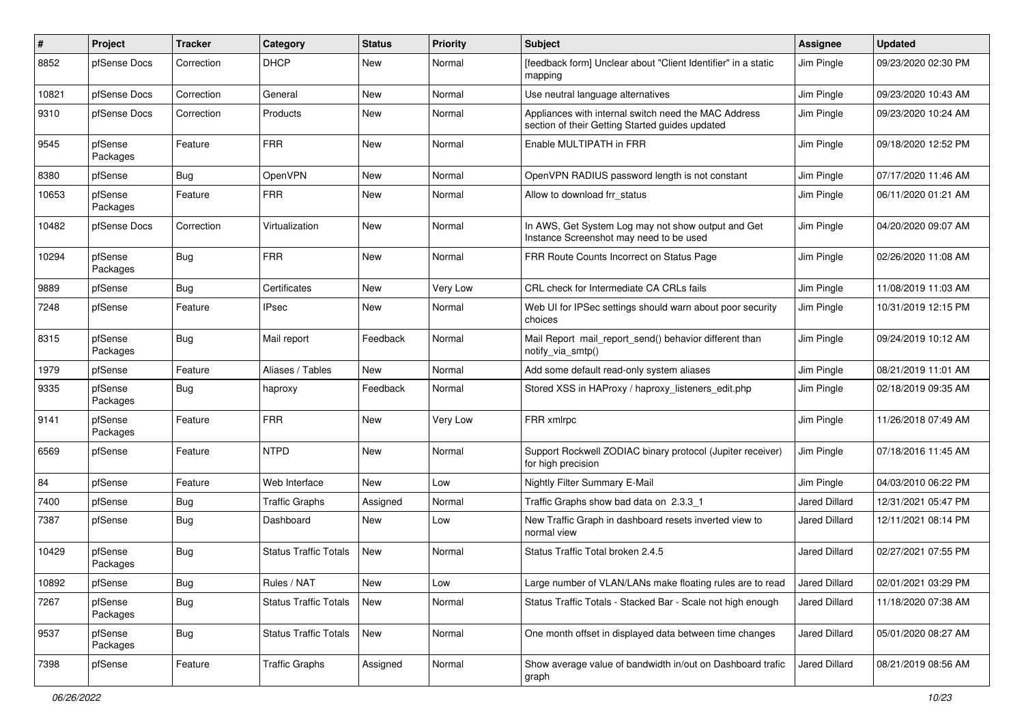| ∦     | Project             | <b>Tracker</b> | Category                     | <b>Status</b> | <b>Priority</b> | <b>Subject</b>                                                                                          | Assignee             | <b>Updated</b>      |
|-------|---------------------|----------------|------------------------------|---------------|-----------------|---------------------------------------------------------------------------------------------------------|----------------------|---------------------|
| 8852  | pfSense Docs        | Correction     | <b>DHCP</b>                  | New           | Normal          | [feedback form] Unclear about "Client Identifier" in a static<br>mapping                                | Jim Pingle           | 09/23/2020 02:30 PM |
| 10821 | pfSense Docs        | Correction     | General                      | New           | Normal          | Use neutral language alternatives                                                                       | Jim Pingle           | 09/23/2020 10:43 AM |
| 9310  | pfSense Docs        | Correction     | Products                     | New           | Normal          | Appliances with internal switch need the MAC Address<br>section of their Getting Started guides updated | Jim Pingle           | 09/23/2020 10:24 AM |
| 9545  | pfSense<br>Packages | Feature        | <b>FRR</b>                   | New           | Normal          | Enable MULTIPATH in FRR                                                                                 | Jim Pingle           | 09/18/2020 12:52 PM |
| 8380  | pfSense             | Bug            | OpenVPN                      | New           | Normal          | OpenVPN RADIUS password length is not constant                                                          | Jim Pingle           | 07/17/2020 11:46 AM |
| 10653 | pfSense<br>Packages | Feature        | <b>FRR</b>                   | New           | Normal          | Allow to download frr status                                                                            | Jim Pingle           | 06/11/2020 01:21 AM |
| 10482 | pfSense Docs        | Correction     | Virtualization               | New           | Normal          | In AWS, Get System Log may not show output and Get<br>Instance Screenshot may need to be used           | Jim Pingle           | 04/20/2020 09:07 AM |
| 10294 | pfSense<br>Packages | <b>Bug</b>     | <b>FRR</b>                   | New           | Normal          | FRR Route Counts Incorrect on Status Page                                                               | Jim Pingle           | 02/26/2020 11:08 AM |
| 9889  | pfSense             | Bug            | Certificates                 | New           | Very Low        | CRL check for Intermediate CA CRLs fails                                                                | Jim Pingle           | 11/08/2019 11:03 AM |
| 7248  | pfSense             | Feature        | IPsec                        | New           | Normal          | Web UI for IPSec settings should warn about poor security<br>choices                                    | Jim Pingle           | 10/31/2019 12:15 PM |
| 8315  | pfSense<br>Packages | Bug            | Mail report                  | Feedback      | Normal          | Mail Report mail report send() behavior different than<br>notify_via_smtp()                             | Jim Pingle           | 09/24/2019 10:12 AM |
| 1979  | pfSense             | Feature        | Aliases / Tables             | New           | Normal          | Add some default read-only system aliases                                                               | Jim Pingle           | 08/21/2019 11:01 AM |
| 9335  | pfSense<br>Packages | <b>Bug</b>     | haproxy                      | Feedback      | Normal          | Stored XSS in HAProxy / haproxy listeners edit.php                                                      | Jim Pingle           | 02/18/2019 09:35 AM |
| 9141  | pfSense<br>Packages | Feature        | <b>FRR</b>                   | New           | Very Low        | FRR xmlrpc                                                                                              | Jim Pingle           | 11/26/2018 07:49 AM |
| 6569  | pfSense             | Feature        | <b>NTPD</b>                  | New           | Normal          | Support Rockwell ZODIAC binary protocol (Jupiter receiver)<br>for high precision                        | Jim Pingle           | 07/18/2016 11:45 AM |
| 84    | pfSense             | Feature        | Web Interface                | <b>New</b>    | Low             | Nightly Filter Summary E-Mail                                                                           | Jim Pingle           | 04/03/2010 06:22 PM |
| 7400  | pfSense             | Bug            | <b>Traffic Graphs</b>        | Assigned      | Normal          | Traffic Graphs show bad data on 2.3.3_1                                                                 | <b>Jared Dillard</b> | 12/31/2021 05:47 PM |
| 7387  | pfSense             | Bug            | Dashboard                    | New           | Low             | New Traffic Graph in dashboard resets inverted view to<br>normal view                                   | <b>Jared Dillard</b> | 12/11/2021 08:14 PM |
| 10429 | pfSense<br>Packages | Bug            | <b>Status Traffic Totals</b> | New           | Normal          | Status Traffic Total broken 2.4.5                                                                       | <b>Jared Dillard</b> | 02/27/2021 07:55 PM |
| 10892 | pfSense             | Bug            | Rules / NAT                  | New           | Low             | Large number of VLAN/LANs make floating rules are to read                                               | Jared Dillard        | 02/01/2021 03:29 PM |
| 7267  | pfSense<br>Packages | <b>Bug</b>     | <b>Status Traffic Totals</b> | New           | Normal          | Status Traffic Totals - Stacked Bar - Scale not high enough                                             | Jared Dillard        | 11/18/2020 07:38 AM |
| 9537  | pfSense<br>Packages | <b>Bug</b>     | <b>Status Traffic Totals</b> | New           | Normal          | One month offset in displayed data between time changes                                                 | <b>Jared Dillard</b> | 05/01/2020 08:27 AM |
| 7398  | pfSense             | Feature        | <b>Traffic Graphs</b>        | Assigned      | Normal          | Show average value of bandwidth in/out on Dashboard trafic<br>graph                                     | Jared Dillard        | 08/21/2019 08:56 AM |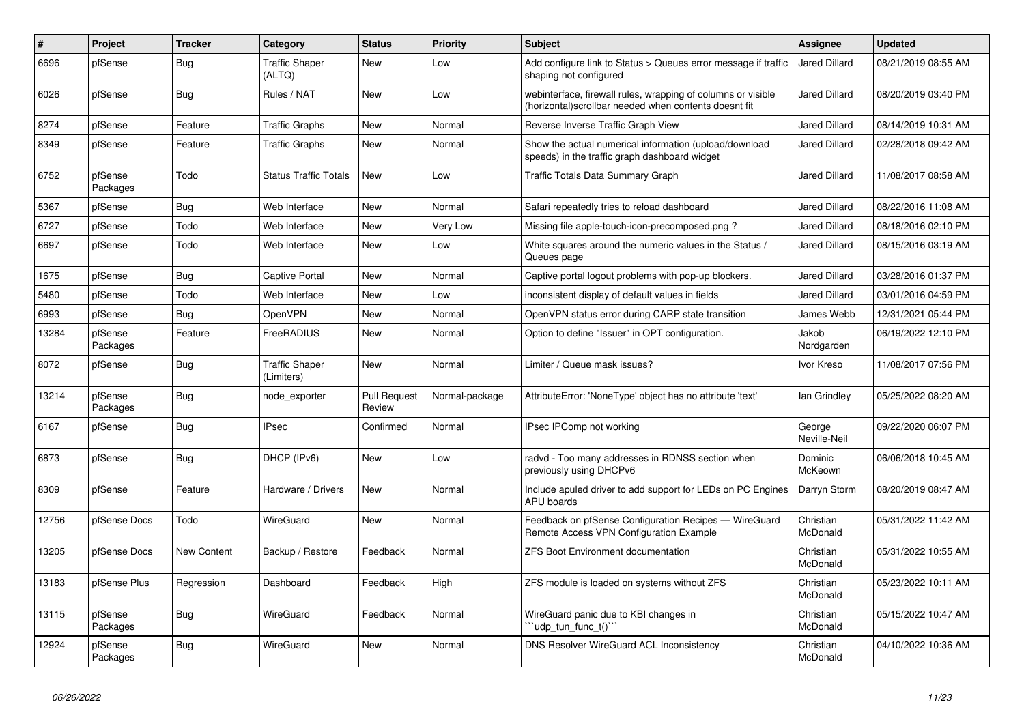| #     | Project             | <b>Tracker</b> | Category                            | <b>Status</b>                 | <b>Priority</b> | <b>Subject</b>                                                                                                         | Assignee               | <b>Updated</b>      |
|-------|---------------------|----------------|-------------------------------------|-------------------------------|-----------------|------------------------------------------------------------------------------------------------------------------------|------------------------|---------------------|
| 6696  | pfSense             | Bug            | <b>Traffic Shaper</b><br>(ALTQ)     | New                           | Low             | Add configure link to Status > Queues error message if traffic<br>shaping not configured                               | <b>Jared Dillard</b>   | 08/21/2019 08:55 AM |
| 6026  | pfSense             | <b>Bug</b>     | Rules / NAT                         | <b>New</b>                    | Low             | webinterface, firewall rules, wrapping of columns or visible<br>(horizontal) scrollbar needed when contents doesnt fit | <b>Jared Dillard</b>   | 08/20/2019 03:40 PM |
| 8274  | pfSense             | Feature        | <b>Traffic Graphs</b>               | <b>New</b>                    | Normal          | Reverse Inverse Traffic Graph View                                                                                     | <b>Jared Dillard</b>   | 08/14/2019 10:31 AM |
| 8349  | pfSense             | Feature        | <b>Traffic Graphs</b>               | New                           | Normal          | Show the actual numerical information (upload/download<br>speeds) in the traffic graph dashboard widget                | Jared Dillard          | 02/28/2018 09:42 AM |
| 6752  | pfSense<br>Packages | Todo           | <b>Status Traffic Totals</b>        | <b>New</b>                    | Low             | <b>Traffic Totals Data Summary Graph</b>                                                                               | <b>Jared Dillard</b>   | 11/08/2017 08:58 AM |
| 5367  | pfSense             | Bug            | Web Interface                       | <b>New</b>                    | Normal          | Safari repeatedly tries to reload dashboard                                                                            | <b>Jared Dillard</b>   | 08/22/2016 11:08 AM |
| 6727  | pfSense             | Todo           | Web Interface                       | <b>New</b>                    | Very Low        | Missing file apple-touch-icon-precomposed.png?                                                                         | <b>Jared Dillard</b>   | 08/18/2016 02:10 PM |
| 6697  | pfSense             | Todo           | Web Interface                       | <b>New</b>                    | Low             | White squares around the numeric values in the Status /<br>Queues page                                                 | <b>Jared Dillard</b>   | 08/15/2016 03:19 AM |
| 1675  | pfSense             | <b>Bug</b>     | <b>Captive Portal</b>               | <b>New</b>                    | Normal          | Captive portal logout problems with pop-up blockers.                                                                   | <b>Jared Dillard</b>   | 03/28/2016 01:37 PM |
| 5480  | pfSense             | Todo           | Web Interface                       | <b>New</b>                    | Low             | inconsistent display of default values in fields                                                                       | <b>Jared Dillard</b>   | 03/01/2016 04:59 PM |
| 6993  | pfSense             | <b>Bug</b>     | OpenVPN                             | New                           | Normal          | OpenVPN status error during CARP state transition                                                                      | James Webb             | 12/31/2021 05:44 PM |
| 13284 | pfSense<br>Packages | Feature        | FreeRADIUS                          | <b>New</b>                    | Normal          | Option to define "Issuer" in OPT configuration.                                                                        | Jakob<br>Nordgarden    | 06/19/2022 12:10 PM |
| 8072  | pfSense             | <b>Bug</b>     | <b>Traffic Shaper</b><br>(Limiters) | New                           | Normal          | Limiter / Queue mask issues?                                                                                           | Ivor Kreso             | 11/08/2017 07:56 PM |
| 13214 | pfSense<br>Packages | Bug            | node exporter                       | <b>Pull Request</b><br>Review | Normal-package  | AttributeError: 'NoneType' object has no attribute 'text'                                                              | lan Grindley           | 05/25/2022 08:20 AM |
| 6167  | pfSense             | <b>Bug</b>     | <b>IPsec</b>                        | Confirmed                     | Normal          | IPsec IPComp not working                                                                                               | George<br>Neville-Neil | 09/22/2020 06:07 PM |
| 6873  | pfSense             | <b>Bug</b>     | DHCP (IPv6)                         | <b>New</b>                    | Low             | radvd - Too many addresses in RDNSS section when<br>previously using DHCPv6                                            | Dominic<br>McKeown     | 06/06/2018 10:45 AM |
| 8309  | pfSense             | Feature        | Hardware / Drivers                  | <b>New</b>                    | Normal          | Include apuled driver to add support for LEDs on PC Engines<br>APU boards                                              | Darryn Storm           | 08/20/2019 08:47 AM |
| 12756 | pfSense Docs        | Todo           | WireGuard                           | <b>New</b>                    | Normal          | Feedback on pfSense Configuration Recipes - WireGuard<br>Remote Access VPN Configuration Example                       | Christian<br>McDonald  | 05/31/2022 11:42 AM |
| 13205 | pfSense Docs        | New Content    | Backup / Restore                    | Feedback                      | Normal          | <b>ZFS Boot Environment documentation</b>                                                                              | Christian<br>McDonald  | 05/31/2022 10:55 AM |
| 13183 | pfSense Plus        | Regression     | Dashboard                           | Feedback                      | High            | ZFS module is loaded on systems without ZFS                                                                            | Christian<br>McDonald  | 05/23/2022 10:11 AM |
| 13115 | pfSense<br>Packages | <b>Bug</b>     | WireGuard                           | Feedback                      | Normal          | WireGuard panic due to KBI changes in<br>'udp tun func t()'                                                            | Christian<br>McDonald  | 05/15/2022 10:47 AM |
| 12924 | pfSense<br>Packages | <b>Bug</b>     | WireGuard                           | <b>New</b>                    | Normal          | DNS Resolver WireGuard ACL Inconsistency                                                                               | Christian<br>McDonald  | 04/10/2022 10:36 AM |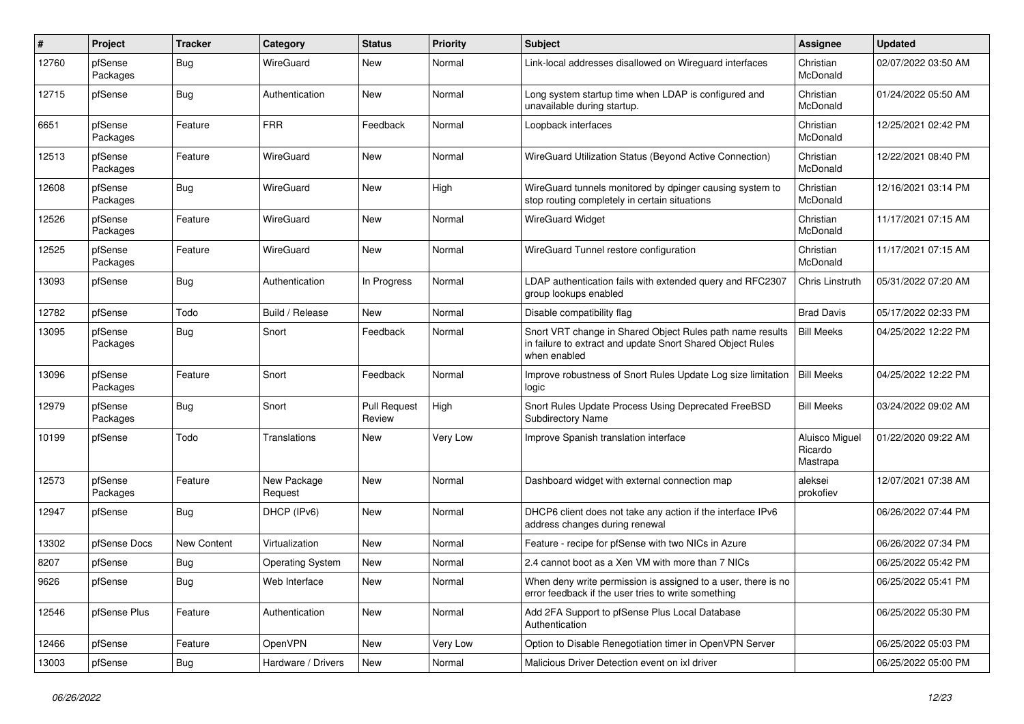| $\pmb{\#}$ | Project             | <b>Tracker</b> | Category                | <b>Status</b>                 | <b>Priority</b> | Subject                                                                                                                                 | <b>Assignee</b>                       | <b>Updated</b>      |
|------------|---------------------|----------------|-------------------------|-------------------------------|-----------------|-----------------------------------------------------------------------------------------------------------------------------------------|---------------------------------------|---------------------|
| 12760      | pfSense<br>Packages | <b>Bug</b>     | WireGuard               | New                           | Normal          | Link-local addresses disallowed on Wireguard interfaces                                                                                 | Christian<br>McDonald                 | 02/07/2022 03:50 AM |
| 12715      | pfSense             | <b>Bug</b>     | Authentication          | New                           | Normal          | Long system startup time when LDAP is configured and<br>unavailable during startup.                                                     | Christian<br>McDonald                 | 01/24/2022 05:50 AM |
| 6651       | pfSense<br>Packages | Feature        | <b>FRR</b>              | Feedback                      | Normal          | Loopback interfaces                                                                                                                     | Christian<br>McDonald                 | 12/25/2021 02:42 PM |
| 12513      | pfSense<br>Packages | Feature        | <b>WireGuard</b>        | New                           | Normal          | WireGuard Utilization Status (Beyond Active Connection)                                                                                 | Christian<br>McDonald                 | 12/22/2021 08:40 PM |
| 12608      | pfSense<br>Packages | <b>Bug</b>     | WireGuard               | New                           | High            | WireGuard tunnels monitored by dpinger causing system to<br>stop routing completely in certain situations                               | Christian<br>McDonald                 | 12/16/2021 03:14 PM |
| 12526      | pfSense<br>Packages | Feature        | <b>WireGuard</b>        | New                           | Normal          | <b>WireGuard Widget</b>                                                                                                                 | Christian<br>McDonald                 | 11/17/2021 07:15 AM |
| 12525      | pfSense<br>Packages | Feature        | WireGuard               | <b>New</b>                    | Normal          | WireGuard Tunnel restore configuration                                                                                                  | Christian<br>McDonald                 | 11/17/2021 07:15 AM |
| 13093      | pfSense             | Bug            | Authentication          | In Progress                   | Normal          | LDAP authentication fails with extended query and RFC2307<br>group lookups enabled                                                      | Chris Linstruth                       | 05/31/2022 07:20 AM |
| 12782      | pfSense             | Todo           | Build / Release         | New                           | Normal          | Disable compatibility flag                                                                                                              | <b>Brad Davis</b>                     | 05/17/2022 02:33 PM |
| 13095      | pfSense<br>Packages | <b>Bug</b>     | Snort                   | Feedback                      | Normal          | Snort VRT change in Shared Object Rules path name results<br>in failure to extract and update Snort Shared Object Rules<br>when enabled | <b>Bill Meeks</b>                     | 04/25/2022 12:22 PM |
| 13096      | pfSense<br>Packages | Feature        | Snort                   | Feedback                      | Normal          | Improve robustness of Snort Rules Update Log size limitation<br>logic                                                                   | <b>Bill Meeks</b>                     | 04/25/2022 12:22 PM |
| 12979      | pfSense<br>Packages | <b>Bug</b>     | Snort                   | <b>Pull Request</b><br>Review | High            | Snort Rules Update Process Using Deprecated FreeBSD<br><b>Subdirectory Name</b>                                                         | <b>Bill Meeks</b>                     | 03/24/2022 09:02 AM |
| 10199      | pfSense             | Todo           | Translations            | New                           | Very Low        | Improve Spanish translation interface                                                                                                   | Aluisco Miguel<br>Ricardo<br>Mastrapa | 01/22/2020 09:22 AM |
| 12573      | pfSense<br>Packages | Feature        | New Package<br>Request  | New                           | Normal          | Dashboard widget with external connection map                                                                                           | aleksei<br>prokofiev                  | 12/07/2021 07:38 AM |
| 12947      | pfSense             | <b>Bug</b>     | DHCP (IPv6)             | <b>New</b>                    | Normal          | DHCP6 client does not take any action if the interface IPv6<br>address changes during renewal                                           |                                       | 06/26/2022 07:44 PM |
| 13302      | pfSense Docs        | New Content    | Virtualization          | <b>New</b>                    | Normal          | Feature - recipe for pfSense with two NICs in Azure                                                                                     |                                       | 06/26/2022 07:34 PM |
| 8207       | pfSense             | Bug            | <b>Operating System</b> | New                           | Normal          | 2.4 cannot boot as a Xen VM with more than 7 NICs                                                                                       |                                       | 06/25/2022 05:42 PM |
| 9626       | pfSense             | Bug            | Web Interface           | New                           | Normal          | When deny write permission is assigned to a user, there is no<br>error feedback if the user tries to write something                    |                                       | 06/25/2022 05:41 PM |
| 12546      | pfSense Plus        | Feature        | Authentication          | New                           | Normal          | Add 2FA Support to pfSense Plus Local Database<br>Authentication                                                                        |                                       | 06/25/2022 05:30 PM |
| 12466      | pfSense             | Feature        | OpenVPN                 | New                           | Very Low        | Option to Disable Renegotiation timer in OpenVPN Server                                                                                 |                                       | 06/25/2022 05:03 PM |
| 13003      | pfSense             | <b>Bug</b>     | Hardware / Drivers      | New                           | Normal          | Malicious Driver Detection event on ixl driver                                                                                          |                                       | 06/25/2022 05:00 PM |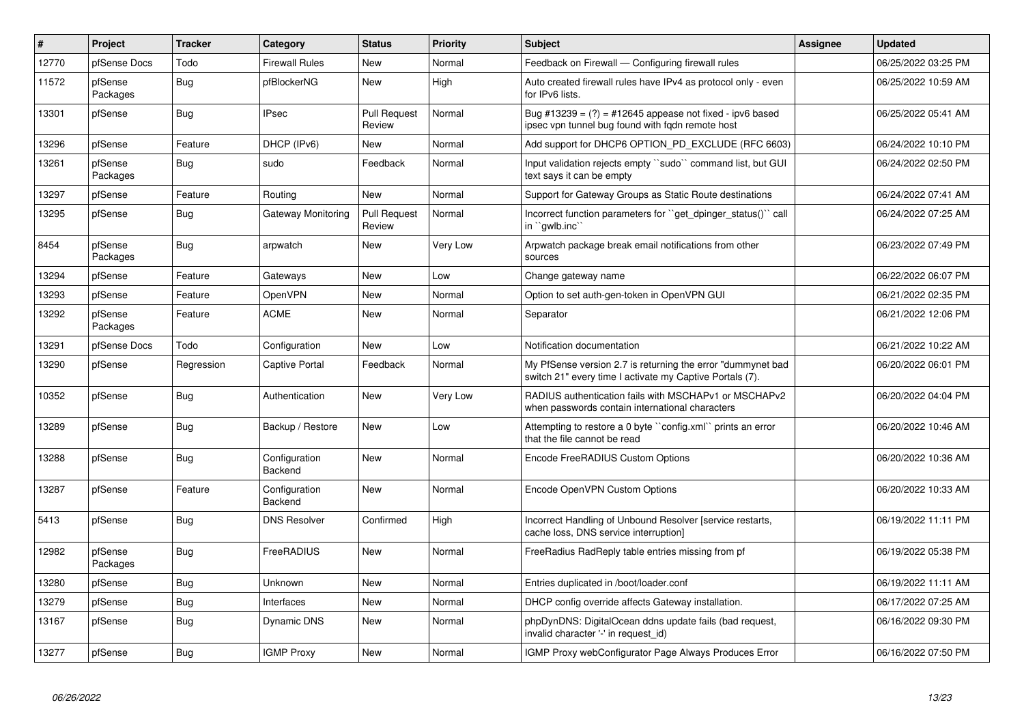| $\pmb{\#}$ | Project             | <b>Tracker</b> | Category                 | <b>Status</b>                 | <b>Priority</b> | <b>Subject</b>                                                                                                          | Assignee | <b>Updated</b>      |
|------------|---------------------|----------------|--------------------------|-------------------------------|-----------------|-------------------------------------------------------------------------------------------------------------------------|----------|---------------------|
| 12770      | pfSense Docs        | Todo           | <b>Firewall Rules</b>    | <b>New</b>                    | Normal          | Feedback on Firewall - Configuring firewall rules                                                                       |          | 06/25/2022 03:25 PM |
| 11572      | pfSense<br>Packages | Bug            | pfBlockerNG              | <b>New</b>                    | High            | Auto created firewall rules have IPv4 as protocol only - even<br>for IPv6 lists.                                        |          | 06/25/2022 10:59 AM |
| 13301      | pfSense             | Bug            | <b>IPsec</b>             | <b>Pull Request</b><br>Review | Normal          | Bug #13239 = $(?)$ = #12645 appease not fixed - ipv6 based<br>ipsec vpn tunnel bug found with fgdn remote host          |          | 06/25/2022 05:41 AM |
| 13296      | pfSense             | Feature        | DHCP (IPv6)              | <b>New</b>                    | Normal          | Add support for DHCP6 OPTION PD EXCLUDE (RFC 6603)                                                                      |          | 06/24/2022 10:10 PM |
| 13261      | pfSense<br>Packages | <b>Bug</b>     | sudo                     | Feedback                      | Normal          | Input validation rejects empty "sudo" command list, but GUI<br>text says it can be empty                                |          | 06/24/2022 02:50 PM |
| 13297      | pfSense             | Feature        | Routing                  | <b>New</b>                    | Normal          | Support for Gateway Groups as Static Route destinations                                                                 |          | 06/24/2022 07:41 AM |
| 13295      | pfSense             | Bug            | Gateway Monitoring       | <b>Pull Request</b><br>Review | Normal          | Incorrect function parameters for "get dpinger status()" call<br>in "gwlb.inc"                                          |          | 06/24/2022 07:25 AM |
| 8454       | pfSense<br>Packages | Bug            | arpwatch                 | New                           | Very Low        | Arpwatch package break email notifications from other<br>sources                                                        |          | 06/23/2022 07:49 PM |
| 13294      | pfSense             | Feature        | Gateways                 | New                           | Low             | Change gateway name                                                                                                     |          | 06/22/2022 06:07 PM |
| 13293      | pfSense             | Feature        | <b>OpenVPN</b>           | New                           | Normal          | Option to set auth-gen-token in OpenVPN GUI                                                                             |          | 06/21/2022 02:35 PM |
| 13292      | pfSense<br>Packages | Feature        | <b>ACME</b>              | New                           | Normal          | Separator                                                                                                               |          | 06/21/2022 12:06 PM |
| 13291      | pfSense Docs        | Todo           | Configuration            | New                           | Low             | Notification documentation                                                                                              |          | 06/21/2022 10:22 AM |
| 13290      | pfSense             | Regression     | Captive Portal           | Feedback                      | Normal          | My PfSense version 2.7 is returning the error "dummynet bad<br>switch 21" every time I activate my Captive Portals (7). |          | 06/20/2022 06:01 PM |
| 10352      | pfSense             | <b>Bug</b>     | Authentication           | New                           | Very Low        | RADIUS authentication fails with MSCHAPv1 or MSCHAPv2<br>when passwords contain international characters                |          | 06/20/2022 04:04 PM |
| 13289      | pfSense             | Bug            | Backup / Restore         | New                           | Low             | Attempting to restore a 0 byte "config.xml" prints an error<br>that the file cannot be read                             |          | 06/20/2022 10:46 AM |
| 13288      | pfSense             | Bug            | Configuration<br>Backend | New                           | Normal          | Encode FreeRADIUS Custom Options                                                                                        |          | 06/20/2022 10:36 AM |
| 13287      | pfSense             | Feature        | Configuration<br>Backend | New                           | Normal          | Encode OpenVPN Custom Options                                                                                           |          | 06/20/2022 10:33 AM |
| 5413       | pfSense             | Bug            | <b>DNS Resolver</b>      | Confirmed                     | High            | Incorrect Handling of Unbound Resolver [service restarts,<br>cache loss, DNS service interruption]                      |          | 06/19/2022 11:11 PM |
| 12982      | pfSense<br>Packages | Bug            | FreeRADIUS               | <b>New</b>                    | Normal          | FreeRadius RadReply table entries missing from pf                                                                       |          | 06/19/2022 05:38 PM |
| 13280      | pfSense             | Bug            | Unknown                  | <b>New</b>                    | Normal          | Entries duplicated in /boot/loader.conf                                                                                 |          | 06/19/2022 11:11 AM |
| 13279      | pfSense             | <b>Bug</b>     | Interfaces               | <b>New</b>                    | Normal          | DHCP config override affects Gateway installation.                                                                      |          | 06/17/2022 07:25 AM |
| 13167      | pfSense             | Bug            | Dynamic DNS              | New                           | Normal          | phpDynDNS: DigitalOcean ddns update fails (bad request,<br>invalid character '-' in request id)                         |          | 06/16/2022 09:30 PM |
| 13277      | pfSense             | <b>Bug</b>     | <b>IGMP Proxy</b>        | <b>New</b>                    | Normal          | IGMP Proxy webConfigurator Page Always Produces Error                                                                   |          | 06/16/2022 07:50 PM |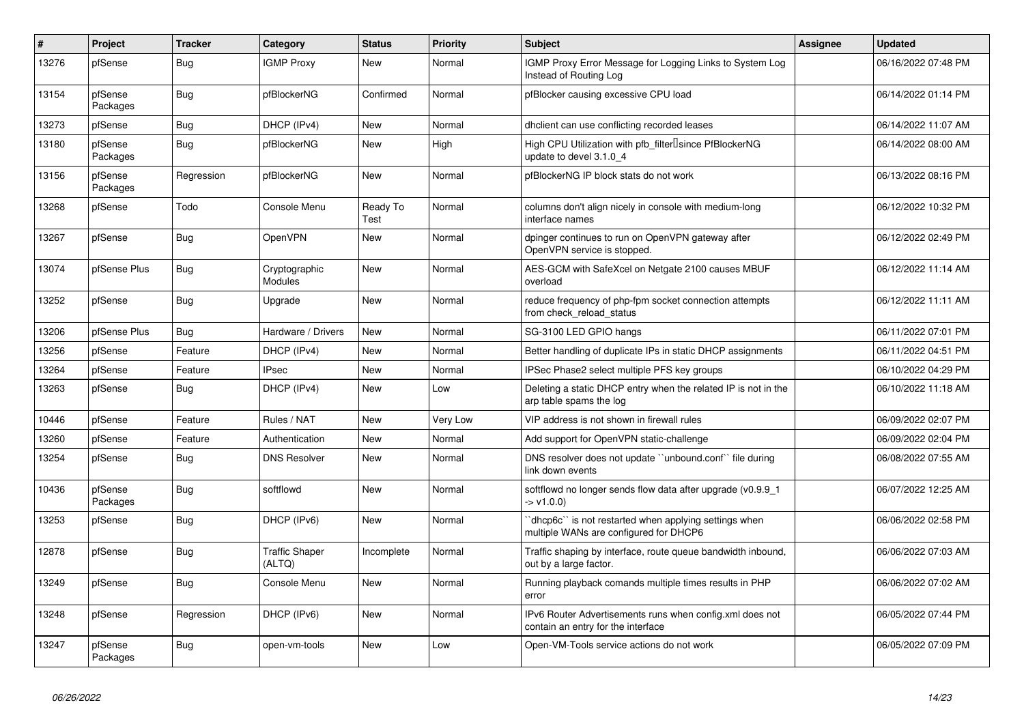| $\vert$ # | Project             | <b>Tracker</b> | Category                        | <b>Status</b>    | <b>Priority</b> | <b>Subject</b>                                                                                  | Assignee | <b>Updated</b>      |
|-----------|---------------------|----------------|---------------------------------|------------------|-----------------|-------------------------------------------------------------------------------------------------|----------|---------------------|
| 13276     | pfSense             | Bug            | <b>IGMP Proxy</b>               | New              | Normal          | IGMP Proxy Error Message for Logging Links to System Log<br>Instead of Routing Log              |          | 06/16/2022 07:48 PM |
| 13154     | pfSense<br>Packages | <b>Bug</b>     | pfBlockerNG                     | Confirmed        | Normal          | pfBlocker causing excessive CPU load                                                            |          | 06/14/2022 01:14 PM |
| 13273     | pfSense             | <b>Bug</b>     | DHCP (IPv4)                     | New              | Normal          | dhclient can use conflicting recorded leases                                                    |          | 06/14/2022 11:07 AM |
| 13180     | pfSense<br>Packages | <b>Bug</b>     | pfBlockerNG                     | New              | High            | High CPU Utilization with pfb filter Usince PfBlockerNG<br>update to devel 3.1.0 4              |          | 06/14/2022 08:00 AM |
| 13156     | pfSense<br>Packages | Regression     | pfBlockerNG                     | <b>New</b>       | Normal          | pfBlockerNG IP block stats do not work                                                          |          | 06/13/2022 08:16 PM |
| 13268     | pfSense             | Todo           | Console Menu                    | Ready To<br>Test | Normal          | columns don't align nicely in console with medium-long<br>interface names                       |          | 06/12/2022 10:32 PM |
| 13267     | pfSense             | <b>Bug</b>     | OpenVPN                         | New              | Normal          | dpinger continues to run on OpenVPN gateway after<br>OpenVPN service is stopped.                |          | 06/12/2022 02:49 PM |
| 13074     | pfSense Plus        | Bug            | Cryptographic<br><b>Modules</b> | New              | Normal          | AES-GCM with SafeXcel on Netgate 2100 causes MBUF<br>overload                                   |          | 06/12/2022 11:14 AM |
| 13252     | pfSense             | Bug            | Upgrade                         | <b>New</b>       | Normal          | reduce frequency of php-fpm socket connection attempts<br>from check reload status              |          | 06/12/2022 11:11 AM |
| 13206     | pfSense Plus        | Bug            | Hardware / Drivers              | <b>New</b>       | Normal          | SG-3100 LED GPIO hangs                                                                          |          | 06/11/2022 07:01 PM |
| 13256     | pfSense             | Feature        | DHCP (IPv4)                     | <b>New</b>       | Normal          | Better handling of duplicate IPs in static DHCP assignments                                     |          | 06/11/2022 04:51 PM |
| 13264     | pfSense             | Feature        | <b>IPsec</b>                    | New              | Normal          | IPSec Phase2 select multiple PFS key groups                                                     |          | 06/10/2022 04:29 PM |
| 13263     | pfSense             | <b>Bug</b>     | DHCP (IPv4)                     | New              | Low             | Deleting a static DHCP entry when the related IP is not in the<br>arp table spams the log       |          | 06/10/2022 11:18 AM |
| 10446     | pfSense             | Feature        | Rules / NAT                     | New              | Very Low        | VIP address is not shown in firewall rules                                                      |          | 06/09/2022 02:07 PM |
| 13260     | pfSense             | Feature        | Authentication                  | New              | Normal          | Add support for OpenVPN static-challenge                                                        |          | 06/09/2022 02:04 PM |
| 13254     | pfSense             | <b>Bug</b>     | <b>DNS Resolver</b>             | <b>New</b>       | Normal          | DNS resolver does not update "unbound.conf" file during<br>link down events                     |          | 06/08/2022 07:55 AM |
| 10436     | pfSense<br>Packages | <b>Bug</b>     | softflowd                       | New              | Normal          | softflowd no longer sends flow data after upgrade (v0.9.9_1<br>$\rightarrow$ v1.0.0)            |          | 06/07/2022 12:25 AM |
| 13253     | pfSense             | Bug            | DHCP (IPv6)                     | New              | Normal          | 'dhcp6c' is not restarted when applying settings when<br>multiple WANs are configured for DHCP6 |          | 06/06/2022 02:58 PM |
| 12878     | pfSense             | <b>Bug</b>     | <b>Traffic Shaper</b><br>(ALTQ) | Incomplete       | Normal          | Traffic shaping by interface, route queue bandwidth inbound,<br>out by a large factor.          |          | 06/06/2022 07:03 AM |
| 13249     | pfSense             | Bug            | Console Menu                    | <b>New</b>       | Normal          | Running playback comands multiple times results in PHP<br>error                                 |          | 06/06/2022 07:02 AM |
| 13248     | pfSense             | Regression     | DHCP (IPv6)                     | New              | Normal          | IPv6 Router Advertisements runs when config.xml does not<br>contain an entry for the interface  |          | 06/05/2022 07:44 PM |
| 13247     | pfSense<br>Packages | Bug            | open-vm-tools                   | New              | Low             | Open-VM-Tools service actions do not work                                                       |          | 06/05/2022 07:09 PM |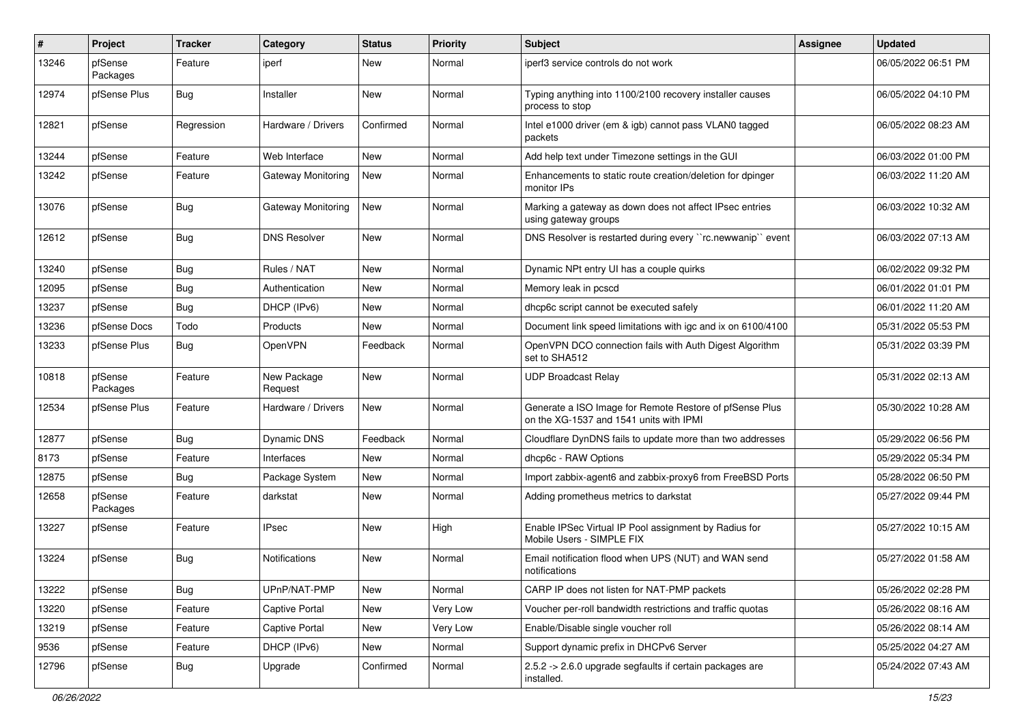| $\vert$ # | Project             | <b>Tracker</b> | Category               | <b>Status</b> | <b>Priority</b> | <b>Subject</b>                                                                                     | Assignee | <b>Updated</b>      |
|-----------|---------------------|----------------|------------------------|---------------|-----------------|----------------------------------------------------------------------------------------------------|----------|---------------------|
| 13246     | pfSense<br>Packages | Feature        | iperf                  | New           | Normal          | iperf3 service controls do not work                                                                |          | 06/05/2022 06:51 PM |
| 12974     | pfSense Plus        | Bug            | Installer              | <b>New</b>    | Normal          | Typing anything into 1100/2100 recovery installer causes<br>process to stop                        |          | 06/05/2022 04:10 PM |
| 12821     | pfSense             | Regression     | Hardware / Drivers     | Confirmed     | Normal          | Intel e1000 driver (em & igb) cannot pass VLAN0 tagged<br>packets                                  |          | 06/05/2022 08:23 AM |
| 13244     | pfSense             | Feature        | Web Interface          | New           | Normal          | Add help text under Timezone settings in the GUI                                                   |          | 06/03/2022 01:00 PM |
| 13242     | pfSense             | Feature        | Gateway Monitoring     | New           | Normal          | Enhancements to static route creation/deletion for dpinger<br>monitor IPs                          |          | 06/03/2022 11:20 AM |
| 13076     | pfSense             | Bug            | Gateway Monitoring     | New           | Normal          | Marking a gateway as down does not affect IPsec entries<br>using gateway groups                    |          | 06/03/2022 10:32 AM |
| 12612     | pfSense             | Bug            | <b>DNS Resolver</b>    | New           | Normal          | DNS Resolver is restarted during every "rc.newwanip" event                                         |          | 06/03/2022 07:13 AM |
| 13240     | pfSense             | Bug            | Rules / NAT            | New           | Normal          | Dynamic NPt entry UI has a couple quirks                                                           |          | 06/02/2022 09:32 PM |
| 12095     | pfSense             | <b>Bug</b>     | Authentication         | New           | Normal          | Memory leak in pcscd                                                                               |          | 06/01/2022 01:01 PM |
| 13237     | pfSense             | <b>Bug</b>     | DHCP (IPv6)            | New           | Normal          | dhcp6c script cannot be executed safely                                                            |          | 06/01/2022 11:20 AM |
| 13236     | pfSense Docs        | Todo           | Products               | New           | Normal          | Document link speed limitations with igc and ix on 6100/4100                                       |          | 05/31/2022 05:53 PM |
| 13233     | pfSense Plus        | <b>Bug</b>     | OpenVPN                | Feedback      | Normal          | OpenVPN DCO connection fails with Auth Digest Algorithm<br>set to SHA512                           |          | 05/31/2022 03:39 PM |
| 10818     | pfSense<br>Packages | Feature        | New Package<br>Request | New           | Normal          | <b>UDP Broadcast Relay</b>                                                                         |          | 05/31/2022 02:13 AM |
| 12534     | pfSense Plus        | Feature        | Hardware / Drivers     | New           | Normal          | Generate a ISO Image for Remote Restore of pfSense Plus<br>on the XG-1537 and 1541 units with IPMI |          | 05/30/2022 10:28 AM |
| 12877     | pfSense             | Bug            | Dynamic DNS            | Feedback      | Normal          | Cloudflare DynDNS fails to update more than two addresses                                          |          | 05/29/2022 06:56 PM |
| 8173      | pfSense             | Feature        | Interfaces             | New           | Normal          | dhcp6c - RAW Options                                                                               |          | 05/29/2022 05:34 PM |
| 12875     | pfSense             | Bug            | Package System         | New           | Normal          | Import zabbix-agent6 and zabbix-proxy6 from FreeBSD Ports                                          |          | 05/28/2022 06:50 PM |
| 12658     | pfSense<br>Packages | Feature        | darkstat               | <b>New</b>    | Normal          | Adding prometheus metrics to darkstat                                                              |          | 05/27/2022 09:44 PM |
| 13227     | pfSense             | Feature        | <b>IPsec</b>           | <b>New</b>    | High            | Enable IPSec Virtual IP Pool assignment by Radius for<br>Mobile Users - SIMPLE FIX                 |          | 05/27/2022 10:15 AM |
| 13224     | pfSense             | Bug            | <b>Notifications</b>   | New           | Normal          | Email notification flood when UPS (NUT) and WAN send<br>notifications                              |          | 05/27/2022 01:58 AM |
| 13222     | pfSense             | <b>Bug</b>     | UPnP/NAT-PMP           | New           | Normal          | CARP IP does not listen for NAT-PMP packets                                                        |          | 05/26/2022 02:28 PM |
| 13220     | pfSense             | Feature        | Captive Portal         | New           | Very Low        | Voucher per-roll bandwidth restrictions and traffic quotas                                         |          | 05/26/2022 08:16 AM |
| 13219     | pfSense             | Feature        | Captive Portal         | New           | Very Low        | Enable/Disable single voucher roll                                                                 |          | 05/26/2022 08:14 AM |
| 9536      | pfSense             | Feature        | DHCP (IPv6)            | New           | Normal          | Support dynamic prefix in DHCPv6 Server                                                            |          | 05/25/2022 04:27 AM |
| 12796     | pfSense             | <b>Bug</b>     | Upgrade                | Confirmed     | Normal          | 2.5.2 -> 2.6.0 upgrade segfaults if certain packages are<br>installed.                             |          | 05/24/2022 07:43 AM |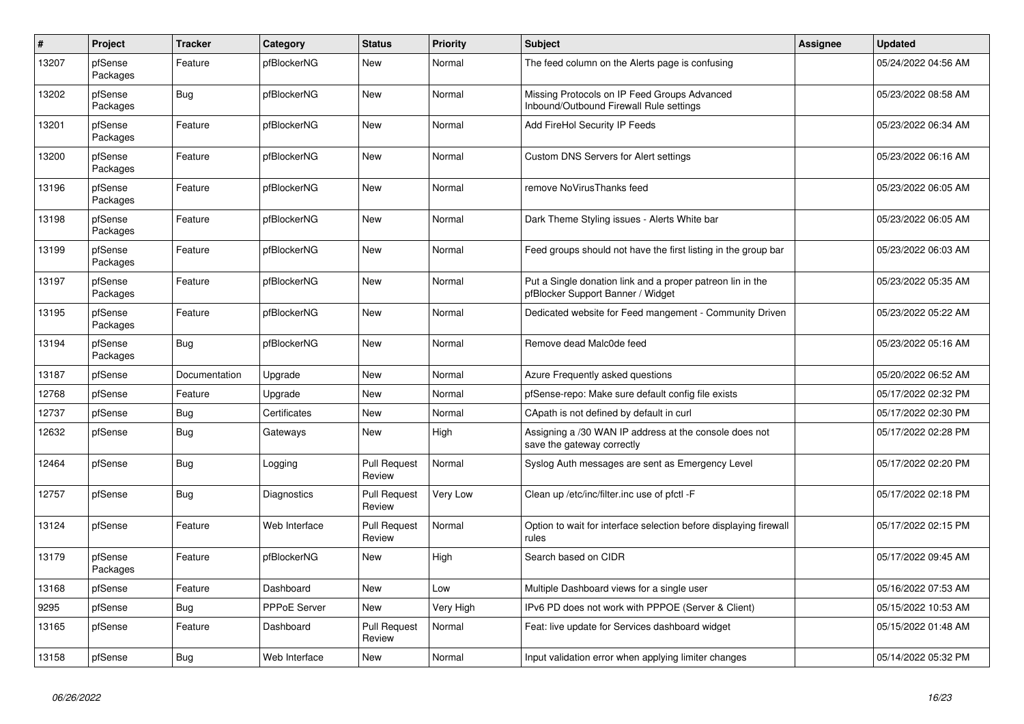| $\sharp$ | Project             | <b>Tracker</b> | Category            | <b>Status</b>                 | <b>Priority</b> | <b>Subject</b>                                                                                  | Assignee | <b>Updated</b>      |
|----------|---------------------|----------------|---------------------|-------------------------------|-----------------|-------------------------------------------------------------------------------------------------|----------|---------------------|
| 13207    | pfSense<br>Packages | Feature        | pfBlockerNG         | New                           | Normal          | The feed column on the Alerts page is confusing                                                 |          | 05/24/2022 04:56 AM |
| 13202    | pfSense<br>Packages | Bug            | pfBlockerNG         | New                           | Normal          | Missing Protocols on IP Feed Groups Advanced<br>Inbound/Outbound Firewall Rule settings         |          | 05/23/2022 08:58 AM |
| 13201    | pfSense<br>Packages | Feature        | pfBlockerNG         | <b>New</b>                    | Normal          | Add FireHol Security IP Feeds                                                                   |          | 05/23/2022 06:34 AM |
| 13200    | pfSense<br>Packages | Feature        | pfBlockerNG         | New                           | Normal          | Custom DNS Servers for Alert settings                                                           |          | 05/23/2022 06:16 AM |
| 13196    | pfSense<br>Packages | Feature        | pfBlockerNG         | New                           | Normal          | remove NoVirusThanks feed                                                                       |          | 05/23/2022 06:05 AM |
| 13198    | pfSense<br>Packages | Feature        | pfBlockerNG         | New                           | Normal          | Dark Theme Styling issues - Alerts White bar                                                    |          | 05/23/2022 06:05 AM |
| 13199    | pfSense<br>Packages | Feature        | pfBlockerNG         | <b>New</b>                    | Normal          | Feed groups should not have the first listing in the group bar                                  |          | 05/23/2022 06:03 AM |
| 13197    | pfSense<br>Packages | Feature        | pfBlockerNG         | <b>New</b>                    | Normal          | Put a Single donation link and a proper patreon lin in the<br>pfBlocker Support Banner / Widget |          | 05/23/2022 05:35 AM |
| 13195    | pfSense<br>Packages | Feature        | pfBlockerNG         | New                           | Normal          | Dedicated website for Feed mangement - Community Driven                                         |          | 05/23/2022 05:22 AM |
| 13194    | pfSense<br>Packages | Bug            | pfBlockerNG         | New                           | Normal          | Remove dead Malc0de feed                                                                        |          | 05/23/2022 05:16 AM |
| 13187    | pfSense             | Documentation  | Upgrade             | New                           | Normal          | Azure Frequently asked questions                                                                |          | 05/20/2022 06:52 AM |
| 12768    | pfSense             | Feature        | Upgrade             | New                           | Normal          | pfSense-repo: Make sure default config file exists                                              |          | 05/17/2022 02:32 PM |
| 12737    | pfSense             | <b>Bug</b>     | Certificates        | New                           | Normal          | CApath is not defined by default in curl                                                        |          | 05/17/2022 02:30 PM |
| 12632    | pfSense             | Bug            | Gateways            | New                           | High            | Assigning a /30 WAN IP address at the console does not<br>save the gateway correctly            |          | 05/17/2022 02:28 PM |
| 12464    | pfSense             | <b>Bug</b>     | Logging             | <b>Pull Request</b><br>Review | Normal          | Syslog Auth messages are sent as Emergency Level                                                |          | 05/17/2022 02:20 PM |
| 12757    | pfSense             | Bug            | <b>Diagnostics</b>  | <b>Pull Request</b><br>Review | Very Low        | Clean up /etc/inc/filter.inc use of pfctl -F                                                    |          | 05/17/2022 02:18 PM |
| 13124    | pfSense             | Feature        | Web Interface       | <b>Pull Request</b><br>Review | Normal          | Option to wait for interface selection before displaying firewall<br>rules                      |          | 05/17/2022 02:15 PM |
| 13179    | pfSense<br>Packages | Feature        | pfBlockerNG         | New                           | High            | Search based on CIDR                                                                            |          | 05/17/2022 09:45 AM |
| 13168    | pfSense             | Feature        | Dashboard           | <b>New</b>                    | Low             | Multiple Dashboard views for a single user                                                      |          | 05/16/2022 07:53 AM |
| 9295     | pfSense             | Bug            | <b>PPPoE Server</b> | New                           | Very High       | IPv6 PD does not work with PPPOE (Server & Client)                                              |          | 05/15/2022 10:53 AM |
| 13165    | pfSense             | Feature        | Dashboard           | <b>Pull Request</b><br>Review | Normal          | Feat: live update for Services dashboard widget                                                 |          | 05/15/2022 01:48 AM |
| 13158    | pfSense             | Bug            | Web Interface       | <b>New</b>                    | Normal          | Input validation error when applying limiter changes                                            |          | 05/14/2022 05:32 PM |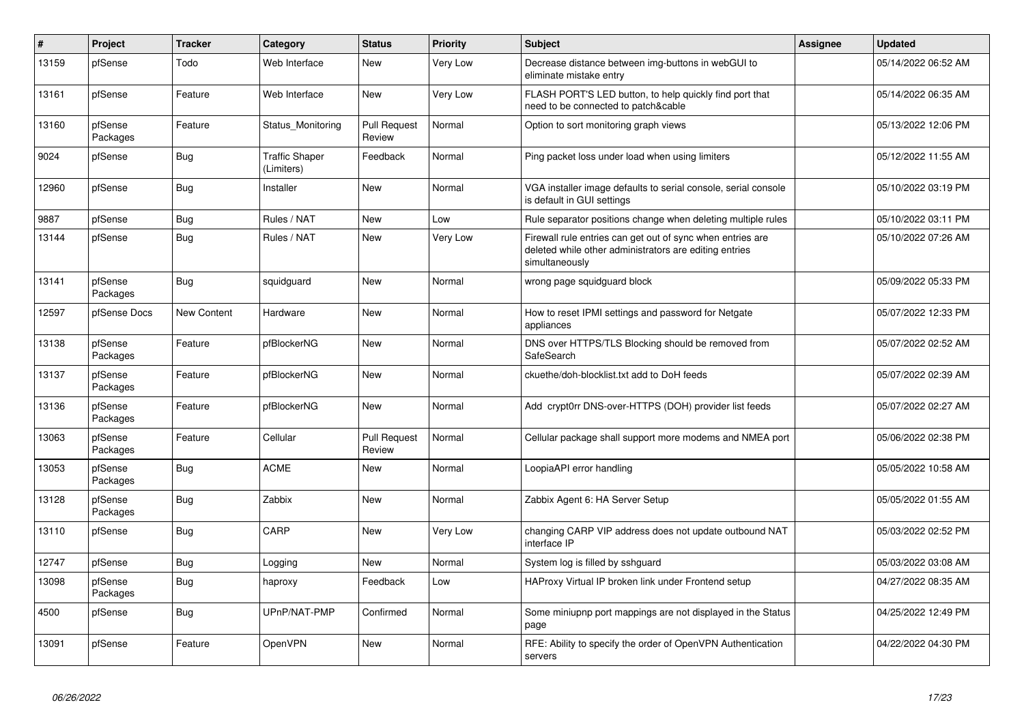| $\vert$ # | Project             | <b>Tracker</b> | Category                            | <b>Status</b>                 | <b>Priority</b> | <b>Subject</b>                                                                                                                         | Assignee | <b>Updated</b>      |
|-----------|---------------------|----------------|-------------------------------------|-------------------------------|-----------------|----------------------------------------------------------------------------------------------------------------------------------------|----------|---------------------|
| 13159     | pfSense             | Todo           | Web Interface                       | <b>New</b>                    | Very Low        | Decrease distance between img-buttons in webGUI to<br>eliminate mistake entry                                                          |          | 05/14/2022 06:52 AM |
| 13161     | pfSense             | Feature        | Web Interface                       | New                           | Very Low        | FLASH PORT'S LED button, to help quickly find port that<br>need to be connected to patch&cable                                         |          | 05/14/2022 06:35 AM |
| 13160     | pfSense<br>Packages | Feature        | Status_Monitoring                   | <b>Pull Request</b><br>Review | Normal          | Option to sort monitoring graph views                                                                                                  |          | 05/13/2022 12:06 PM |
| 9024      | pfSense             | <b>Bug</b>     | <b>Traffic Shaper</b><br>(Limiters) | Feedback                      | Normal          | Ping packet loss under load when using limiters                                                                                        |          | 05/12/2022 11:55 AM |
| 12960     | pfSense             | <b>Bug</b>     | Installer                           | <b>New</b>                    | Normal          | VGA installer image defaults to serial console, serial console<br>is default in GUI settings                                           |          | 05/10/2022 03:19 PM |
| 9887      | pfSense             | Bug            | Rules / NAT                         | <b>New</b>                    | Low             | Rule separator positions change when deleting multiple rules                                                                           |          | 05/10/2022 03:11 PM |
| 13144     | pfSense             | <b>Bug</b>     | Rules / NAT                         | New                           | Very Low        | Firewall rule entries can get out of sync when entries are<br>deleted while other administrators are editing entries<br>simultaneously |          | 05/10/2022 07:26 AM |
| 13141     | pfSense<br>Packages | <b>Bug</b>     | squidguard                          | <b>New</b>                    | Normal          | wrong page squidguard block                                                                                                            |          | 05/09/2022 05:33 PM |
| 12597     | pfSense Docs        | New Content    | Hardware                            | New                           | Normal          | How to reset IPMI settings and password for Netgate<br>appliances                                                                      |          | 05/07/2022 12:33 PM |
| 13138     | pfSense<br>Packages | Feature        | pfBlockerNG                         | <b>New</b>                    | Normal          | DNS over HTTPS/TLS Blocking should be removed from<br>SafeSearch                                                                       |          | 05/07/2022 02:52 AM |
| 13137     | pfSense<br>Packages | Feature        | pfBlockerNG                         | <b>New</b>                    | Normal          | ckuethe/doh-blocklist.txt add to DoH feeds                                                                                             |          | 05/07/2022 02:39 AM |
| 13136     | pfSense<br>Packages | Feature        | pfBlockerNG                         | New                           | Normal          | Add crypt0rr DNS-over-HTTPS (DOH) provider list feeds                                                                                  |          | 05/07/2022 02:27 AM |
| 13063     | pfSense<br>Packages | Feature        | Cellular                            | <b>Pull Request</b><br>Review | Normal          | Cellular package shall support more modems and NMEA port                                                                               |          | 05/06/2022 02:38 PM |
| 13053     | pfSense<br>Packages | <b>Bug</b>     | <b>ACME</b>                         | <b>New</b>                    | Normal          | LoopiaAPI error handling                                                                                                               |          | 05/05/2022 10:58 AM |
| 13128     | pfSense<br>Packages | <b>Bug</b>     | Zabbix                              | New                           | Normal          | Zabbix Agent 6: HA Server Setup                                                                                                        |          | 05/05/2022 01:55 AM |
| 13110     | pfSense             | Bug            | CARP                                | <b>New</b>                    | Very Low        | changing CARP VIP address does not update outbound NAT<br>interface IP                                                                 |          | 05/03/2022 02:52 PM |
| 12747     | pfSense             | <b>Bug</b>     | Logging                             | <b>New</b>                    | Normal          | System log is filled by sshguard                                                                                                       |          | 05/03/2022 03:08 AM |
| 13098     | pfSense<br>Packages | <b>Bug</b>     | haproxy                             | Feedback                      | Low             | HAProxy Virtual IP broken link under Frontend setup                                                                                    |          | 04/27/2022 08:35 AM |
| 4500      | pfSense             | Bug            | UPnP/NAT-PMP                        | Confirmed                     | Normal          | Some miniupnp port mappings are not displayed in the Status<br>page                                                                    |          | 04/25/2022 12:49 PM |
| 13091     | pfSense             | Feature        | <b>OpenVPN</b>                      | <b>New</b>                    | Normal          | RFE: Ability to specify the order of OpenVPN Authentication<br>servers                                                                 |          | 04/22/2022 04:30 PM |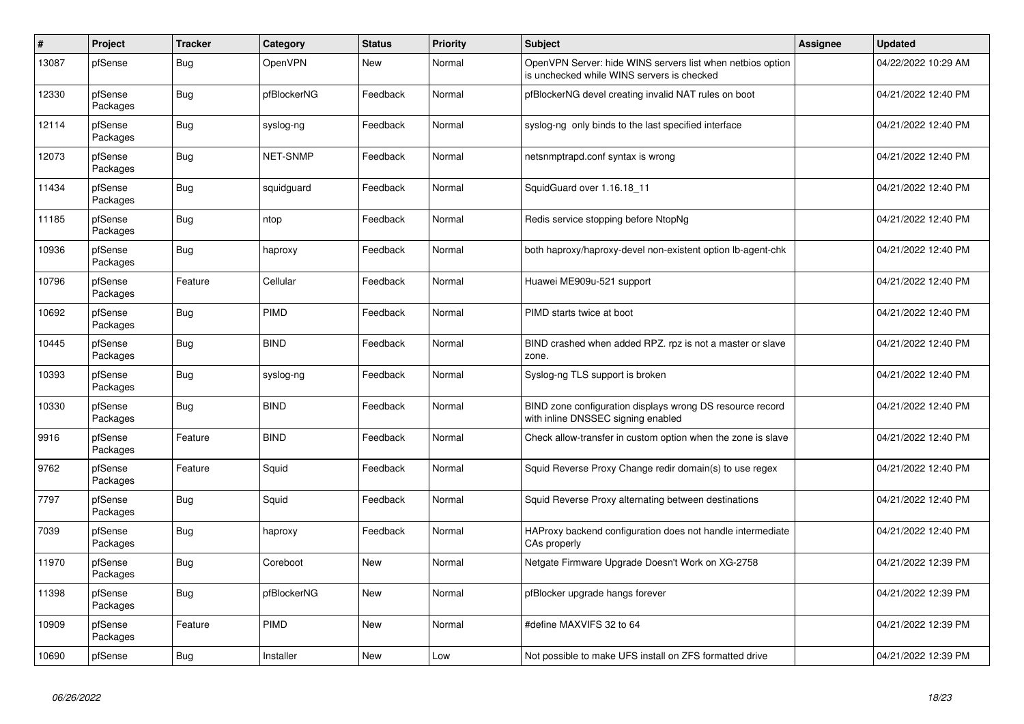| $\vert$ # | Project             | <b>Tracker</b> | Category        | <b>Status</b> | <b>Priority</b> | <b>Subject</b>                                                                                           | Assignee | <b>Updated</b>      |
|-----------|---------------------|----------------|-----------------|---------------|-----------------|----------------------------------------------------------------------------------------------------------|----------|---------------------|
| 13087     | pfSense             | Bug            | OpenVPN         | <b>New</b>    | Normal          | OpenVPN Server: hide WINS servers list when netbios option<br>is unchecked while WINS servers is checked |          | 04/22/2022 10:29 AM |
| 12330     | pfSense<br>Packages | <b>Bug</b>     | pfBlockerNG     | Feedback      | Normal          | pfBlockerNG devel creating invalid NAT rules on boot                                                     |          | 04/21/2022 12:40 PM |
| 12114     | pfSense<br>Packages | <b>Bug</b>     | syslog-ng       | Feedback      | Normal          | syslog-ng only binds to the last specified interface                                                     |          | 04/21/2022 12:40 PM |
| 12073     | pfSense<br>Packages | <b>Bug</b>     | <b>NET-SNMP</b> | Feedback      | Normal          | netsnmptrapd.conf syntax is wrong                                                                        |          | 04/21/2022 12:40 PM |
| 11434     | pfSense<br>Packages | <b>Bug</b>     | squidguard      | Feedback      | Normal          | SquidGuard over 1.16.18 11                                                                               |          | 04/21/2022 12:40 PM |
| 11185     | pfSense<br>Packages | Bug            | ntop            | Feedback      | Normal          | Redis service stopping before NtopNg                                                                     |          | 04/21/2022 12:40 PM |
| 10936     | pfSense<br>Packages | <b>Bug</b>     | haproxy         | Feedback      | Normal          | both haproxy/haproxy-devel non-existent option lb-agent-chk                                              |          | 04/21/2022 12:40 PM |
| 10796     | pfSense<br>Packages | Feature        | Cellular        | Feedback      | Normal          | Huawei ME909u-521 support                                                                                |          | 04/21/2022 12:40 PM |
| 10692     | pfSense<br>Packages | Bug            | PIMD            | Feedback      | Normal          | PIMD starts twice at boot                                                                                |          | 04/21/2022 12:40 PM |
| 10445     | pfSense<br>Packages | <b>Bug</b>     | <b>BIND</b>     | Feedback      | Normal          | BIND crashed when added RPZ. rpz is not a master or slave<br>zone.                                       |          | 04/21/2022 12:40 PM |
| 10393     | pfSense<br>Packages | <b>Bug</b>     | syslog-ng       | Feedback      | Normal          | Syslog-ng TLS support is broken                                                                          |          | 04/21/2022 12:40 PM |
| 10330     | pfSense<br>Packages | <b>Bug</b>     | <b>BIND</b>     | Feedback      | Normal          | BIND zone configuration displays wrong DS resource record<br>with inline DNSSEC signing enabled          |          | 04/21/2022 12:40 PM |
| 9916      | pfSense<br>Packages | Feature        | <b>BIND</b>     | Feedback      | Normal          | Check allow-transfer in custom option when the zone is slave                                             |          | 04/21/2022 12:40 PM |
| 9762      | pfSense<br>Packages | Feature        | Squid           | Feedback      | Normal          | Squid Reverse Proxy Change redir domain(s) to use regex                                                  |          | 04/21/2022 12:40 PM |
| 7797      | pfSense<br>Packages | <b>Bug</b>     | Squid           | Feedback      | Normal          | Squid Reverse Proxy alternating between destinations                                                     |          | 04/21/2022 12:40 PM |
| 7039      | pfSense<br>Packages | <b>Bug</b>     | haproxy         | Feedback      | Normal          | HAProxy backend configuration does not handle intermediate<br>CAs properly                               |          | 04/21/2022 12:40 PM |
| 11970     | pfSense<br>Packages | <b>Bug</b>     | Coreboot        | <b>New</b>    | Normal          | Netgate Firmware Upgrade Doesn't Work on XG-2758                                                         |          | 04/21/2022 12:39 PM |
| 11398     | pfSense<br>Packages | <b>Bug</b>     | pfBlockerNG     | New           | Normal          | pfBlocker upgrade hangs forever                                                                          |          | 04/21/2022 12:39 PM |
| 10909     | pfSense<br>Packages | Feature        | PIMD            | <b>New</b>    | Normal          | #define MAXVIFS 32 to 64                                                                                 |          | 04/21/2022 12:39 PM |
| 10690     | pfSense             | <b>Bug</b>     | Installer       | <b>New</b>    | Low             | Not possible to make UFS install on ZFS formatted drive                                                  |          | 04/21/2022 12:39 PM |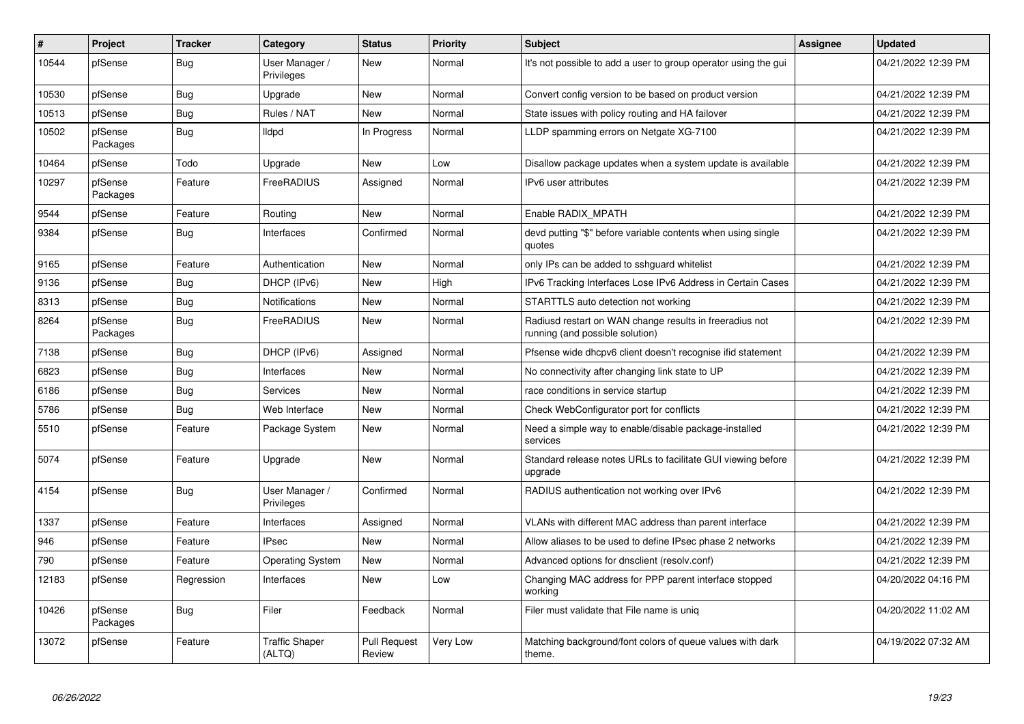| $\vert$ # | Project             | <b>Tracker</b> | Category                        | <b>Status</b>                 | <b>Priority</b> | <b>Subject</b>                                                                             | Assignee | <b>Updated</b>      |
|-----------|---------------------|----------------|---------------------------------|-------------------------------|-----------------|--------------------------------------------------------------------------------------------|----------|---------------------|
| 10544     | pfSense             | <b>Bug</b>     | User Manager /<br>Privileges    | <b>New</b>                    | Normal          | It's not possible to add a user to group operator using the gui                            |          | 04/21/2022 12:39 PM |
| 10530     | pfSense             | <b>Bug</b>     | Upgrade                         | <b>New</b>                    | Normal          | Convert config version to be based on product version                                      |          | 04/21/2022 12:39 PM |
| 10513     | pfSense             | Bug            | Rules / NAT                     | <b>New</b>                    | Normal          | State issues with policy routing and HA failover                                           |          | 04/21/2022 12:39 PM |
| 10502     | pfSense<br>Packages | Bug            | lldpd                           | In Progress                   | Normal          | LLDP spamming errors on Netgate XG-7100                                                    |          | 04/21/2022 12:39 PM |
| 10464     | pfSense             | Todo           | Upgrade                         | New                           | Low             | Disallow package updates when a system update is available                                 |          | 04/21/2022 12:39 PM |
| 10297     | pfSense<br>Packages | Feature        | FreeRADIUS                      | Assigned                      | Normal          | IPv6 user attributes                                                                       |          | 04/21/2022 12:39 PM |
| 9544      | pfSense             | Feature        | Routing                         | New                           | Normal          | Enable RADIX MPATH                                                                         |          | 04/21/2022 12:39 PM |
| 9384      | pfSense             | Bug            | Interfaces                      | Confirmed                     | Normal          | devd putting "\$" before variable contents when using single<br>quotes                     |          | 04/21/2022 12:39 PM |
| 9165      | pfSense             | Feature        | Authentication                  | New                           | Normal          | only IPs can be added to sshguard whitelist                                                |          | 04/21/2022 12:39 PM |
| 9136      | pfSense             | Bug            | DHCP (IPv6)                     | New                           | High            | IPv6 Tracking Interfaces Lose IPv6 Address in Certain Cases                                |          | 04/21/2022 12:39 PM |
| 8313      | pfSense             | <b>Bug</b>     | Notifications                   | New                           | Normal          | STARTTLS auto detection not working                                                        |          | 04/21/2022 12:39 PM |
| 8264      | pfSense<br>Packages | Bug            | FreeRADIUS                      | New                           | Normal          | Radiusd restart on WAN change results in freeradius not<br>running (and possible solution) |          | 04/21/2022 12:39 PM |
| 7138      | pfSense             | Bug            | DHCP (IPv6)                     | Assigned                      | Normal          | Pfsense wide dhcpv6 client doesn't recognise if id statement                               |          | 04/21/2022 12:39 PM |
| 6823      | pfSense             | <b>Bug</b>     | Interfaces                      | New                           | Normal          | No connectivity after changing link state to UP                                            |          | 04/21/2022 12:39 PM |
| 6186      | pfSense             | Bug            | Services                        | New                           | Normal          | race conditions in service startup                                                         |          | 04/21/2022 12:39 PM |
| 5786      | pfSense             | <b>Bug</b>     | Web Interface                   | New                           | Normal          | Check WebConfigurator port for conflicts                                                   |          | 04/21/2022 12:39 PM |
| 5510      | pfSense             | Feature        | Package System                  | New                           | Normal          | Need a simple way to enable/disable package-installed<br>services                          |          | 04/21/2022 12:39 PM |
| 5074      | pfSense             | Feature        | Upgrade                         | New                           | Normal          | Standard release notes URLs to facilitate GUI viewing before<br>upgrade                    |          | 04/21/2022 12:39 PM |
| 4154      | pfSense             | Bug            | User Manager /<br>Privileges    | Confirmed                     | Normal          | RADIUS authentication not working over IPv6                                                |          | 04/21/2022 12:39 PM |
| 1337      | pfSense             | Feature        | Interfaces                      | Assigned                      | Normal          | VLANs with different MAC address than parent interface                                     |          | 04/21/2022 12:39 PM |
| 946       | pfSense             | Feature        | <b>IPsec</b>                    | New                           | Normal          | Allow aliases to be used to define IPsec phase 2 networks                                  |          | 04/21/2022 12:39 PM |
| 790       | pfSense             | Feature        | <b>Operating System</b>         | New                           | Normal          | Advanced options for dnsclient (resolv.conf)                                               |          | 04/21/2022 12:39 PM |
| 12183     | pfSense             | Regression     | Interfaces                      | New                           | Low             | Changing MAC address for PPP parent interface stopped<br>working                           |          | 04/20/2022 04:16 PM |
| 10426     | pfSense<br>Packages | <b>Bug</b>     | Filer                           | Feedback                      | Normal          | Filer must validate that File name is uniq                                                 |          | 04/20/2022 11:02 AM |
| 13072     | pfSense             | Feature        | <b>Traffic Shaper</b><br>(ALTQ) | <b>Pull Request</b><br>Review | Very Low        | Matching background/font colors of queue values with dark<br>theme.                        |          | 04/19/2022 07:32 AM |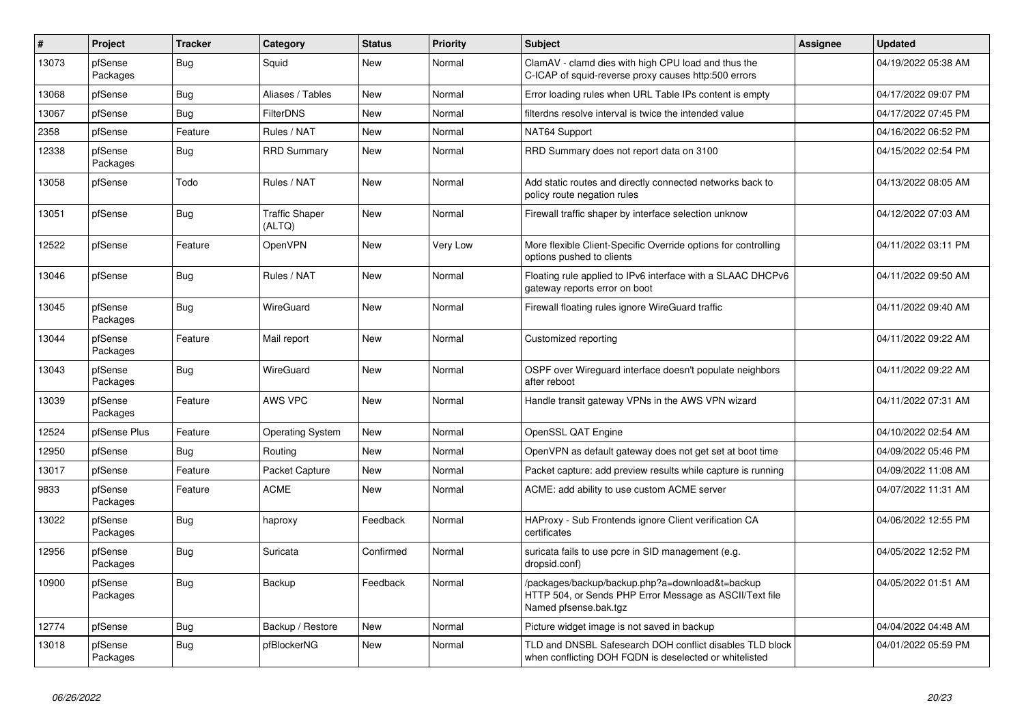| #     | Project             | <b>Tracker</b> | Category                        | <b>Status</b> | <b>Priority</b> | <b>Subject</b>                                                                                                                      | Assignee | <b>Updated</b>      |
|-------|---------------------|----------------|---------------------------------|---------------|-----------------|-------------------------------------------------------------------------------------------------------------------------------------|----------|---------------------|
| 13073 | pfSense<br>Packages | Bug            | Squid                           | <b>New</b>    | Normal          | ClamAV - clamd dies with high CPU load and thus the<br>C-ICAP of squid-reverse proxy causes http:500 errors                         |          | 04/19/2022 05:38 AM |
| 13068 | pfSense             | Bug            | Aliases / Tables                | <b>New</b>    | Normal          | Error loading rules when URL Table IPs content is empty                                                                             |          | 04/17/2022 09:07 PM |
| 13067 | pfSense             | <b>Bug</b>     | <b>FilterDNS</b>                | New           | Normal          | filterdns resolve interval is twice the intended value                                                                              |          | 04/17/2022 07:45 PM |
| 2358  | pfSense             | Feature        | Rules / NAT                     | <b>New</b>    | Normal          | NAT64 Support                                                                                                                       |          | 04/16/2022 06:52 PM |
| 12338 | pfSense<br>Packages | <b>Bug</b>     | <b>RRD Summary</b>              | New           | Normal          | RRD Summary does not report data on 3100                                                                                            |          | 04/15/2022 02:54 PM |
| 13058 | pfSense             | Todo           | Rules / NAT                     | New           | Normal          | Add static routes and directly connected networks back to<br>policy route negation rules                                            |          | 04/13/2022 08:05 AM |
| 13051 | pfSense             | Bug            | <b>Traffic Shaper</b><br>(ALTQ) | New           | Normal          | Firewall traffic shaper by interface selection unknow                                                                               |          | 04/12/2022 07:03 AM |
| 12522 | pfSense             | Feature        | OpenVPN                         | New           | Very Low        | More flexible Client-Specific Override options for controlling<br>options pushed to clients                                         |          | 04/11/2022 03:11 PM |
| 13046 | pfSense             | <b>Bug</b>     | Rules / NAT                     | <b>New</b>    | Normal          | Floating rule applied to IPv6 interface with a SLAAC DHCPv6<br>gateway reports error on boot                                        |          | 04/11/2022 09:50 AM |
| 13045 | pfSense<br>Packages | Bug            | WireGuard                       | New           | Normal          | Firewall floating rules ignore WireGuard traffic                                                                                    |          | 04/11/2022 09:40 AM |
| 13044 | pfSense<br>Packages | Feature        | Mail report                     | New           | Normal          | Customized reporting                                                                                                                |          | 04/11/2022 09:22 AM |
| 13043 | pfSense<br>Packages | Bug            | WireGuard                       | <b>New</b>    | Normal          | OSPF over Wireguard interface doesn't populate neighbors<br>after reboot                                                            |          | 04/11/2022 09:22 AM |
| 13039 | pfSense<br>Packages | Feature        | AWS VPC                         | <b>New</b>    | Normal          | Handle transit gateway VPNs in the AWS VPN wizard                                                                                   |          | 04/11/2022 07:31 AM |
| 12524 | pfSense Plus        | Feature        | <b>Operating System</b>         | New           | Normal          | OpenSSL QAT Engine                                                                                                                  |          | 04/10/2022 02:54 AM |
| 12950 | pfSense             | Bug            | Routing                         | New           | Normal          | OpenVPN as default gateway does not get set at boot time                                                                            |          | 04/09/2022 05:46 PM |
| 13017 | pfSense             | Feature        | Packet Capture                  | <b>New</b>    | Normal          | Packet capture: add preview results while capture is running                                                                        |          | 04/09/2022 11:08 AM |
| 9833  | pfSense<br>Packages | Feature        | <b>ACME</b>                     | New           | Normal          | ACME: add ability to use custom ACME server                                                                                         |          | 04/07/2022 11:31 AM |
| 13022 | pfSense<br>Packages | Bug            | haproxy                         | Feedback      | Normal          | HAProxy - Sub Frontends ignore Client verification CA<br>certificates                                                               |          | 04/06/2022 12:55 PM |
| 12956 | pfSense<br>Packages | <b>Bug</b>     | Suricata                        | Confirmed     | Normal          | suricata fails to use pcre in SID management (e.g.<br>dropsid.conf)                                                                 |          | 04/05/2022 12:52 PM |
| 10900 | pfSense<br>Packages | Bug            | Backup                          | Feedback      | Normal          | /packages/backup/backup.php?a=download&t=backup<br>HTTP 504, or Sends PHP Error Message as ASCII/Text file<br>Named pfsense.bak.tgz |          | 04/05/2022 01:51 AM |
| 12774 | pfSense             | Bug            | Backup / Restore                | New           | Normal          | Picture widget image is not saved in backup                                                                                         |          | 04/04/2022 04:48 AM |
| 13018 | pfSense<br>Packages | Bug            | pfBlockerNG                     | <b>New</b>    | Normal          | TLD and DNSBL Safesearch DOH conflict disables TLD block<br>when conflicting DOH FQDN is deselected or whitelisted                  |          | 04/01/2022 05:59 PM |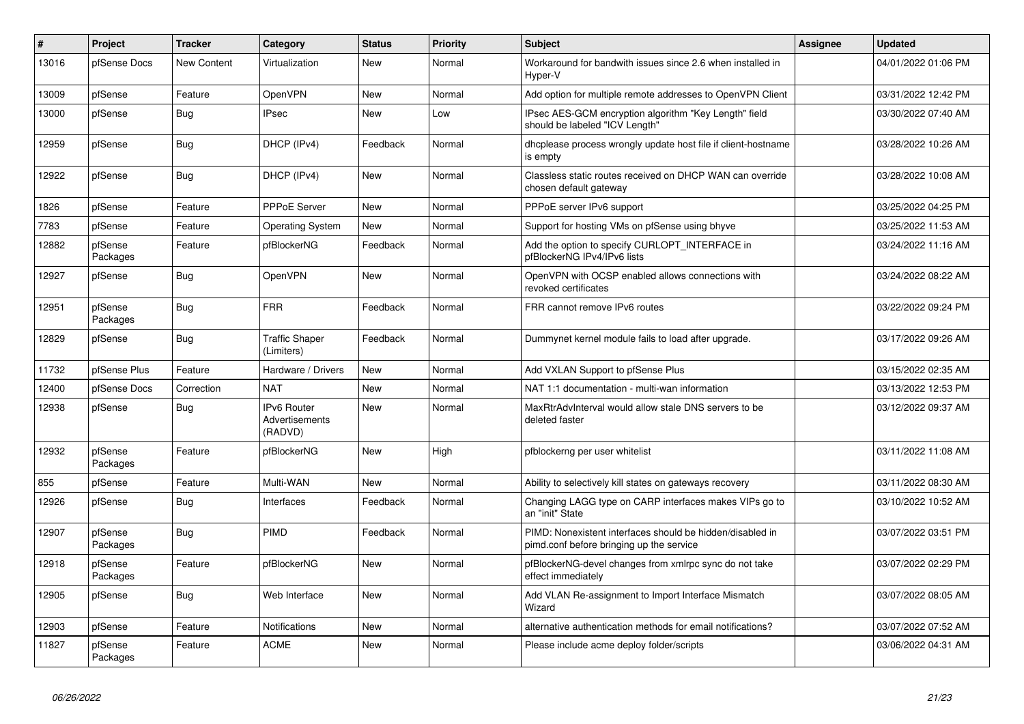| #     | Project             | <b>Tracker</b>     | Category                                        | <b>Status</b> | <b>Priority</b> | <b>Subject</b>                                                                                        | <b>Assignee</b> | <b>Updated</b>      |
|-------|---------------------|--------------------|-------------------------------------------------|---------------|-----------------|-------------------------------------------------------------------------------------------------------|-----------------|---------------------|
| 13016 | pfSense Docs        | <b>New Content</b> | Virtualization                                  | <b>New</b>    | Normal          | Workaround for bandwith issues since 2.6 when installed in<br>Hyper-V                                 |                 | 04/01/2022 01:06 PM |
| 13009 | pfSense             | Feature            | <b>OpenVPN</b>                                  | New           | Normal          | Add option for multiple remote addresses to OpenVPN Client                                            |                 | 03/31/2022 12:42 PM |
| 13000 | pfSense             | Bug                | <b>IPsec</b>                                    | New           | Low             | IPsec AES-GCM encryption algorithm "Key Length" field<br>should be labeled "ICV Length"               |                 | 03/30/2022 07:40 AM |
| 12959 | pfSense             | <b>Bug</b>         | DHCP (IPv4)                                     | Feedback      | Normal          | dhcplease process wrongly update host file if client-hostname<br>is empty                             |                 | 03/28/2022 10:26 AM |
| 12922 | pfSense             | Bug                | DHCP (IPv4)                                     | <b>New</b>    | Normal          | Classless static routes received on DHCP WAN can override<br>chosen default gateway                   |                 | 03/28/2022 10:08 AM |
| 1826  | pfSense             | Feature            | PPPoE Server                                    | <b>New</b>    | Normal          | PPPoE server IPv6 support                                                                             |                 | 03/25/2022 04:25 PM |
| 7783  | pfSense             | Feature            | <b>Operating System</b>                         | New           | Normal          | Support for hosting VMs on pfSense using bhyve                                                        |                 | 03/25/2022 11:53 AM |
| 12882 | pfSense<br>Packages | Feature            | pfBlockerNG                                     | Feedback      | Normal          | Add the option to specify CURLOPT INTERFACE in<br>pfBlockerNG IPv4/IPv6 lists                         |                 | 03/24/2022 11:16 AM |
| 12927 | pfSense             | <b>Bug</b>         | OpenVPN                                         | New           | Normal          | OpenVPN with OCSP enabled allows connections with<br>revoked certificates                             |                 | 03/24/2022 08:22 AM |
| 12951 | pfSense<br>Packages | <b>Bug</b>         | <b>FRR</b>                                      | Feedback      | Normal          | FRR cannot remove IPv6 routes                                                                         |                 | 03/22/2022 09:24 PM |
| 12829 | pfSense             | Bug                | <b>Traffic Shaper</b><br>(Limiters)             | Feedback      | Normal          | Dummynet kernel module fails to load after upgrade.                                                   |                 | 03/17/2022 09:26 AM |
| 11732 | pfSense Plus        | Feature            | Hardware / Drivers                              | <b>New</b>    | Normal          | Add VXLAN Support to pfSense Plus                                                                     |                 | 03/15/2022 02:35 AM |
| 12400 | pfSense Docs        | Correction         | <b>NAT</b>                                      | New           | Normal          | NAT 1:1 documentation - multi-wan information                                                         |                 | 03/13/2022 12:53 PM |
| 12938 | pfSense             | Bug                | <b>IPv6 Router</b><br>Advertisements<br>(RADVD) | New           | Normal          | MaxRtrAdvInterval would allow stale DNS servers to be<br>deleted faster                               |                 | 03/12/2022 09:37 AM |
| 12932 | pfSense<br>Packages | Feature            | pfBlockerNG                                     | <b>New</b>    | High            | pfblockerng per user whitelist                                                                        |                 | 03/11/2022 11:08 AM |
| 855   | pfSense             | Feature            | Multi-WAN                                       | New           | Normal          | Ability to selectively kill states on gateways recovery                                               |                 | 03/11/2022 08:30 AM |
| 12926 | pfSense             | Bug                | Interfaces                                      | Feedback      | Normal          | Changing LAGG type on CARP interfaces makes VIPs go to<br>an "init" State                             |                 | 03/10/2022 10:52 AM |
| 12907 | pfSense<br>Packages | Bug                | PIMD                                            | Feedback      | Normal          | PIMD: Nonexistent interfaces should be hidden/disabled in<br>pimd.conf before bringing up the service |                 | 03/07/2022 03:51 PM |
| 12918 | pfSense<br>Packages | Feature            | pfBlockerNG                                     | New           | Normal          | pfBlockerNG-devel changes from xmlrpc sync do not take<br>effect immediately                          |                 | 03/07/2022 02:29 PM |
| 12905 | pfSense             | Bug                | Web Interface                                   | <b>New</b>    | Normal          | Add VLAN Re-assignment to Import Interface Mismatch<br>Wizard                                         |                 | 03/07/2022 08:05 AM |
| 12903 | pfSense             | Feature            | <b>Notifications</b>                            | New           | Normal          | alternative authentication methods for email notifications?                                           |                 | 03/07/2022 07:52 AM |
| 11827 | pfSense<br>Packages | Feature            | <b>ACME</b>                                     | New           | Normal          | Please include acme deploy folder/scripts                                                             |                 | 03/06/2022 04:31 AM |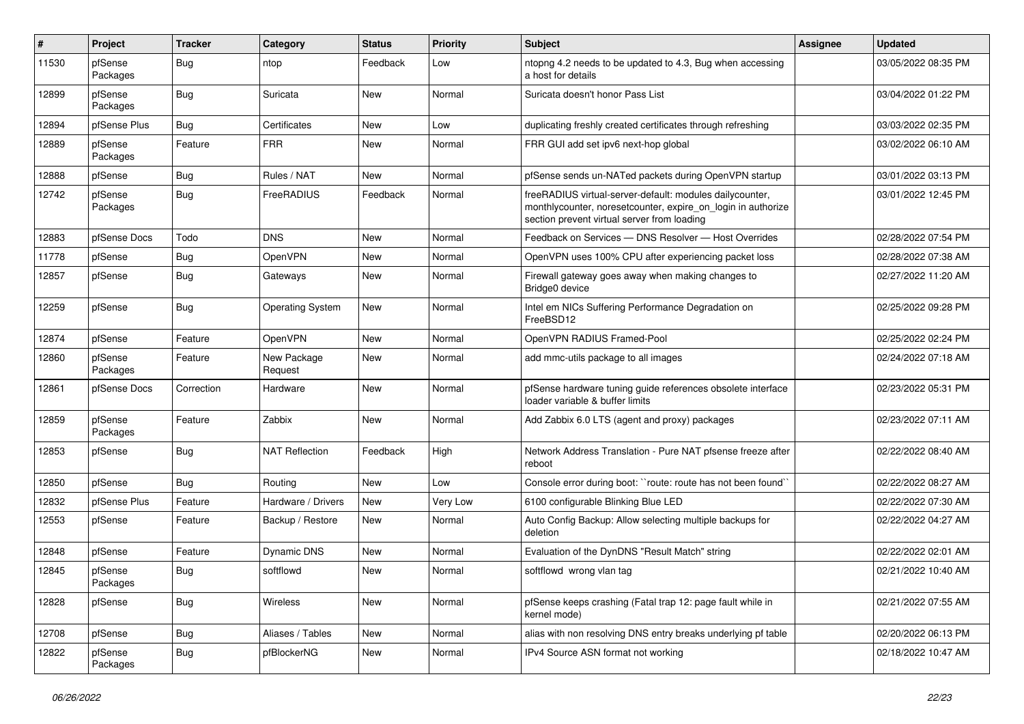| $\#$  | Project             | <b>Tracker</b> | Category                | <b>Status</b> | <b>Priority</b> | <b>Subject</b>                                                                                                                                                          | Assignee | <b>Updated</b>      |
|-------|---------------------|----------------|-------------------------|---------------|-----------------|-------------------------------------------------------------------------------------------------------------------------------------------------------------------------|----------|---------------------|
| 11530 | pfSense<br>Packages | Bug            | ntop                    | Feedback      | Low             | ntopng 4.2 needs to be updated to 4.3, Bug when accessing<br>a host for details                                                                                         |          | 03/05/2022 08:35 PM |
| 12899 | pfSense<br>Packages | <b>Bug</b>     | Suricata                | <b>New</b>    | Normal          | Suricata doesn't honor Pass List                                                                                                                                        |          | 03/04/2022 01:22 PM |
| 12894 | pfSense Plus        | Bug            | Certificates            | <b>New</b>    | Low             | duplicating freshly created certificates through refreshing                                                                                                             |          | 03/03/2022 02:35 PM |
| 12889 | pfSense<br>Packages | Feature        | <b>FRR</b>              | New           | Normal          | FRR GUI add set ipv6 next-hop global                                                                                                                                    |          | 03/02/2022 06:10 AM |
| 12888 | pfSense             | <b>Bug</b>     | Rules / NAT             | New           | Normal          | pfSense sends un-NATed packets during OpenVPN startup                                                                                                                   |          | 03/01/2022 03:13 PM |
| 12742 | pfSense<br>Packages | Bug            | FreeRADIUS              | Feedback      | Normal          | freeRADIUS virtual-server-default: modules dailycounter,<br>monthlycounter, noresetcounter, expire_on_login in authorize<br>section prevent virtual server from loading |          | 03/01/2022 12:45 PM |
| 12883 | pfSense Docs        | Todo           | <b>DNS</b>              | New           | Normal          | Feedback on Services - DNS Resolver - Host Overrides                                                                                                                    |          | 02/28/2022 07:54 PM |
| 11778 | pfSense             | <b>Bug</b>     | OpenVPN                 | <b>New</b>    | Normal          | OpenVPN uses 100% CPU after experiencing packet loss                                                                                                                    |          | 02/28/2022 07:38 AM |
| 12857 | pfSense             | Bug            | Gateways                | New           | Normal          | Firewall gateway goes away when making changes to<br>Bridge0 device                                                                                                     |          | 02/27/2022 11:20 AM |
| 12259 | pfSense             | Bug            | <b>Operating System</b> | New           | Normal          | Intel em NICs Suffering Performance Degradation on<br>FreeBSD12                                                                                                         |          | 02/25/2022 09:28 PM |
| 12874 | pfSense             | Feature        | OpenVPN                 | New           | Normal          | OpenVPN RADIUS Framed-Pool                                                                                                                                              |          | 02/25/2022 02:24 PM |
| 12860 | pfSense<br>Packages | Feature        | New Package<br>Request  | New           | Normal          | add mmc-utils package to all images                                                                                                                                     |          | 02/24/2022 07:18 AM |
| 12861 | pfSense Docs        | Correction     | Hardware                | <b>New</b>    | Normal          | pfSense hardware tuning guide references obsolete interface<br>loader variable & buffer limits                                                                          |          | 02/23/2022 05:31 PM |
| 12859 | pfSense<br>Packages | Feature        | Zabbix                  | <b>New</b>    | Normal          | Add Zabbix 6.0 LTS (agent and proxy) packages                                                                                                                           |          | 02/23/2022 07:11 AM |
| 12853 | pfSense             | Bug            | <b>NAT Reflection</b>   | Feedback      | High            | Network Address Translation - Pure NAT pfsense freeze after<br>reboot                                                                                                   |          | 02/22/2022 08:40 AM |
| 12850 | pfSense             | <b>Bug</b>     | Routing                 | New           | Low             | Console error during boot: "route: route has not been found"                                                                                                            |          | 02/22/2022 08:27 AM |
| 12832 | pfSense Plus        | Feature        | Hardware / Drivers      | New           | Very Low        | 6100 configurable Blinking Blue LED                                                                                                                                     |          | 02/22/2022 07:30 AM |
| 12553 | pfSense             | Feature        | Backup / Restore        | New           | Normal          | Auto Config Backup: Allow selecting multiple backups for<br>deletion                                                                                                    |          | 02/22/2022 04:27 AM |
| 12848 | pfSense             | Feature        | Dynamic DNS             | New           | Normal          | Evaluation of the DynDNS "Result Match" string                                                                                                                          |          | 02/22/2022 02:01 AM |
| 12845 | pfSense<br>Packages | <b>Bug</b>     | softflowd               | New           | Normal          | softflowd wrong vlan tag                                                                                                                                                |          | 02/21/2022 10:40 AM |
| 12828 | pfSense             | <b>Bug</b>     | Wireless                | New           | Normal          | pfSense keeps crashing (Fatal trap 12: page fault while in<br>kernel mode)                                                                                              |          | 02/21/2022 07:55 AM |
| 12708 | pfSense             | <b>Bug</b>     | Aliases / Tables        | New           | Normal          | alias with non resolving DNS entry breaks underlying pf table                                                                                                           |          | 02/20/2022 06:13 PM |
| 12822 | pfSense<br>Packages | <b>Bug</b>     | pfBlockerNG             | New           | Normal          | IPv4 Source ASN format not working                                                                                                                                      |          | 02/18/2022 10:47 AM |